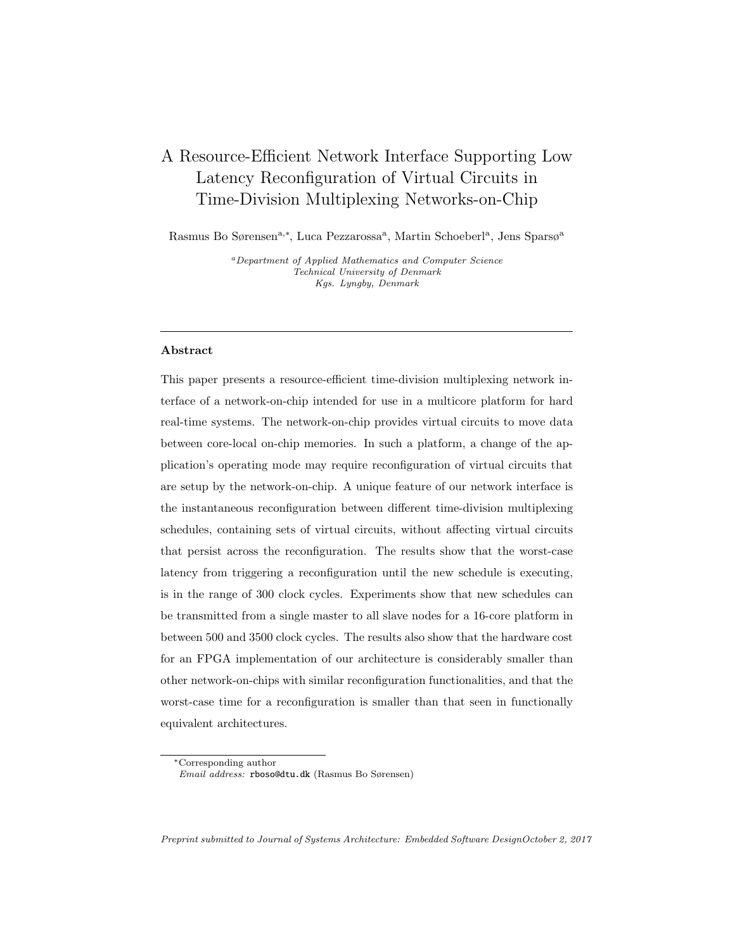# A Resource-Efficient Network Interface Supporting Low Latency Reconfiguration of Virtual Circuits in Time-Division Multiplexing Networks-on-Chip

Rasmus Bo Sørensen<sup>a,∗</sup>, Luca Pezzarossa<sup>a</sup>, Martin Schoeberl<sup>a</sup>, Jens Sparsø<sup>a</sup>

<sup>a</sup>Department of Applied Mathematics and Computer Science Technical University of Denmark Kgs. Lyngby, Denmark

# Abstract

This paper presents a resource-efficient time-division multiplexing network interface of a network-on-chip intended for use in a multicore platform for hard real-time systems. The network-on-chip provides virtual circuits to move data between core-local on-chip memories. In such a platform, a change of the application's operating mode may require reconfiguration of virtual circuits that are setup by the network-on-chip. A unique feature of our network interface is the instantaneous reconfiguration between different time-division multiplexing schedules, containing sets of virtual circuits, without affecting virtual circuits that persist across the reconfiguration. The results show that the worst-case latency from triggering a reconfiguration until the new schedule is executing, is in the range of 300 clock cycles. Experiments show that new schedules can be transmitted from a single master to all slave nodes for a 16-core platform in between 500 and 3500 clock cycles. The results also show that the hardware cost for an FPGA implementation of our architecture is considerably smaller than other network-on-chips with similar reconfiguration functionalities, and that the worst-case time for a reconfiguration is smaller than that seen in functionally equivalent architectures.

Preprint submitted to Journal of Systems Architecture: Embedded Software DesignOctober 2, 2017

<sup>∗</sup>Corresponding author Email address: rboso@dtu.dk (Rasmus Bo Sørensen)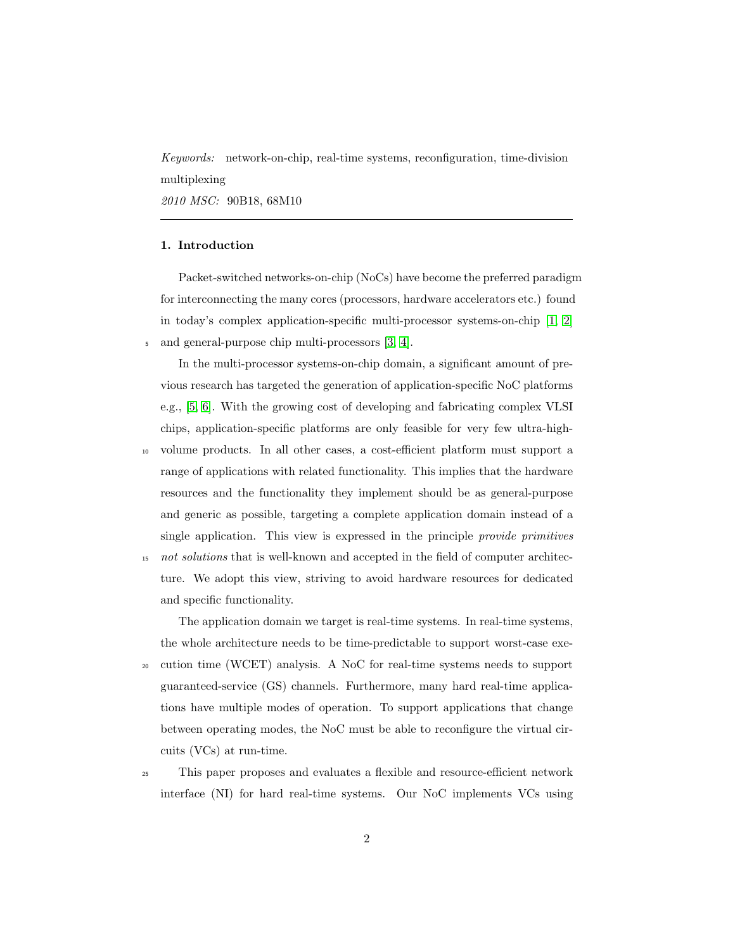Keywords: network-on-chip, real-time systems, reconfiguration, time-division multiplexing

2010 MSC: 90B18, 68M10

# 1. Introduction

Packet-switched networks-on-chip (NoCs) have become the preferred paradigm for interconnecting the many cores (processors, hardware accelerators etc.) found in today's complex application-specific multi-processor systems-on-chip [\[1,](#page-36-0) [2\]](#page-36-1) <sup>5</sup> and general-purpose chip multi-processors [\[3,](#page-36-2) [4\]](#page-37-0).

In the multi-processor systems-on-chip domain, a significant amount of previous research has targeted the generation of application-specific NoC platforms e.g., [\[5,](#page-37-1) [6\]](#page-37-2). With the growing cost of developing and fabricating complex VLSI chips, application-specific platforms are only feasible for very few ultra-high-

<sup>10</sup> volume products. In all other cases, a cost-efficient platform must support a range of applications with related functionality. This implies that the hardware resources and the functionality they implement should be as general-purpose and generic as possible, targeting a complete application domain instead of a single application. This view is expressed in the principle provide primitives <sup>15</sup> not solutions that is well-known and accepted in the field of computer architecture. We adopt this view, striving to avoid hardware resources for dedicated and specific functionality.

The application domain we target is real-time systems. In real-time systems, the whole architecture needs to be time-predictable to support worst-case exe-

<sup>20</sup> cution time (WCET) analysis. A NoC for real-time systems needs to support guaranteed-service (GS) channels. Furthermore, many hard real-time applications have multiple modes of operation. To support applications that change between operating modes, the NoC must be able to reconfigure the virtual circuits (VCs) at run-time.

<sup>25</sup> This paper proposes and evaluates a flexible and resource-efficient network interface (NI) for hard real-time systems. Our NoC implements VCs using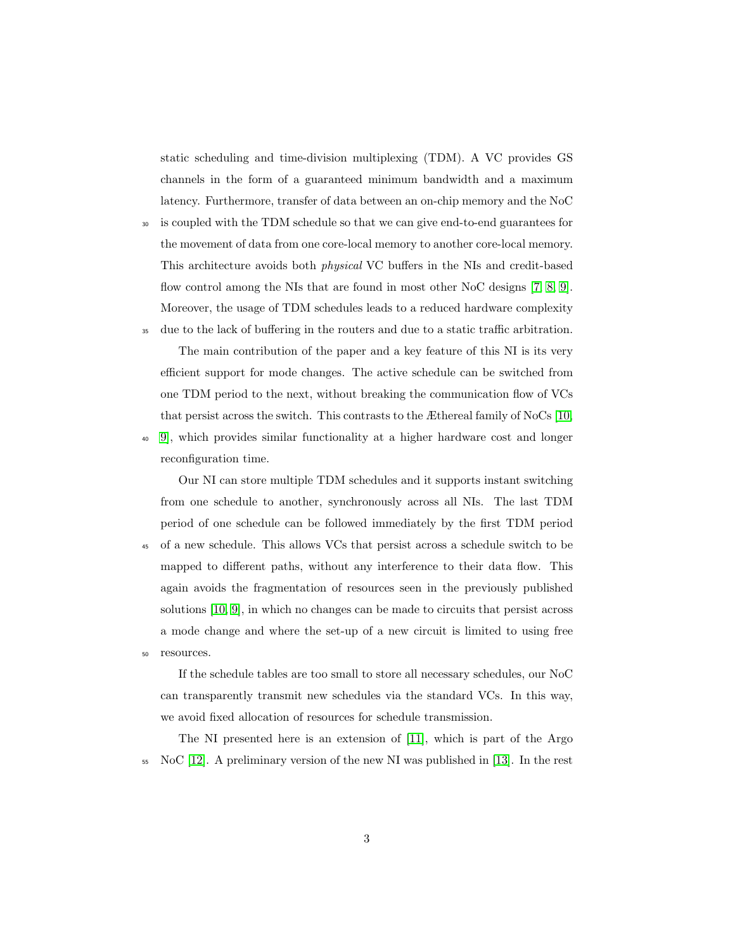static scheduling and time-division multiplexing (TDM). A VC provides GS channels in the form of a guaranteed minimum bandwidth and a maximum latency. Furthermore, transfer of data between an on-chip memory and the NoC

<sup>30</sup> is coupled with the TDM schedule so that we can give end-to-end guarantees for the movement of data from one core-local memory to another core-local memory. This architecture avoids both physical VC buffers in the NIs and credit-based flow control among the NIs that are found in most other NoC designs [\[7,](#page-37-3) [8,](#page-37-4) [9\]](#page-37-5). Moreover, the usage of TDM schedules leads to a reduced hardware complexity

<sup>35</sup> due to the lack of buffering in the routers and due to a static traffic arbitration. The main contribution of the paper and a key feature of this NI is its very efficient support for mode changes. The active schedule can be switched from

one TDM period to the next, without breaking the communication flow of VCs that persist across the switch. This contrasts to the Æthereal family of NoCs [\[10,](#page-37-6)

<sup>40</sup> [9\]](#page-37-5), which provides similar functionality at a higher hardware cost and longer reconfiguration time.

Our NI can store multiple TDM schedules and it supports instant switching from one schedule to another, synchronously across all NIs. The last TDM period of one schedule can be followed immediately by the first TDM period

<sup>45</sup> of a new schedule. This allows VCs that persist across a schedule switch to be mapped to different paths, without any interference to their data flow. This again avoids the fragmentation of resources seen in the previously published solutions [\[10,](#page-37-6) [9\]](#page-37-5), in which no changes can be made to circuits that persist across a mode change and where the set-up of a new circuit is limited to using free <sup>50</sup> resources.

If the schedule tables are too small to store all necessary schedules, our NoC can transparently transmit new schedules via the standard VCs. In this way, we avoid fixed allocation of resources for schedule transmission.

The NI presented here is an extension of [\[11\]](#page-38-0), which is part of the Argo <sup>55</sup> NoC [\[12\]](#page-38-1). A preliminary version of the new NI was published in [\[13\]](#page-38-2). In the rest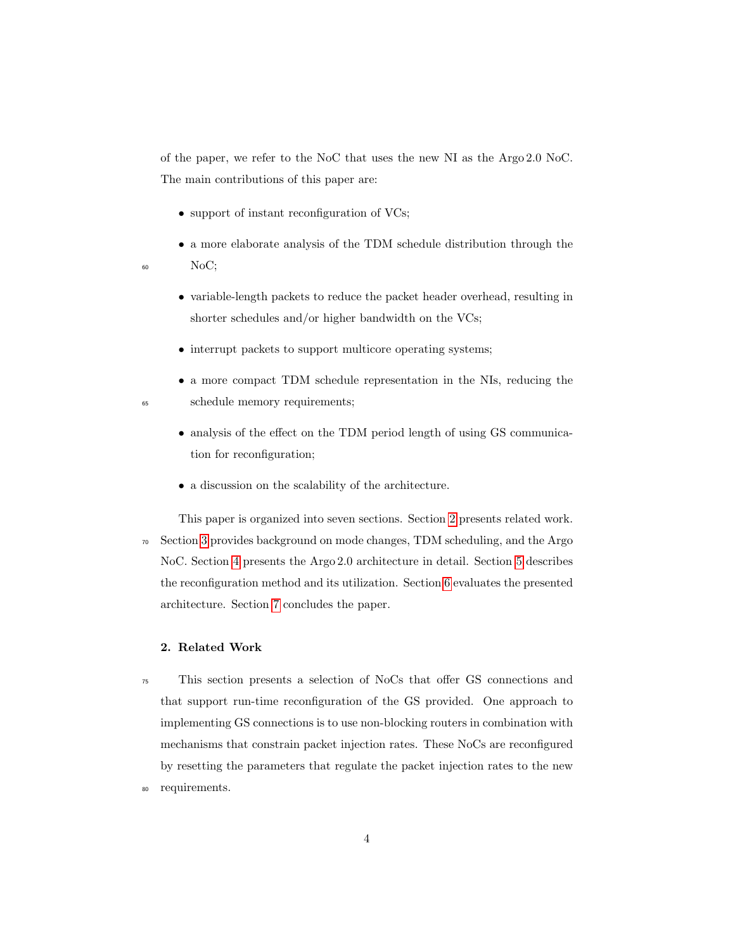of the paper, we refer to the NoC that uses the new NI as the Argo 2.0 NoC. The main contributions of this paper are:

- support of instant reconfiguration of VCs;
- a more elaborate analysis of the TDM schedule distribution through the <sup>60</sup> NoC;
- 
- variable-length packets to reduce the packet header overhead, resulting in shorter schedules and/or higher bandwidth on the VCs;
- interrupt packets to support multicore operating systems;
- a more compact TDM schedule representation in the NIs, reducing the <sup>65</sup> schedule memory requirements;
	- analysis of the effect on the TDM period length of using GS communication for reconfiguration;
	- $\bullet\,$  a discussion on the scalability of the architecture.

This paper is organized into seven sections. Section [2](#page-3-0) presents related work. <sup>70</sup> Section [3](#page-6-0) provides background on mode changes, TDM scheduling, and the Argo NoC. Section [4](#page-14-0) presents the Argo 2.0 architecture in detail. Section [5](#page-20-0) describes the reconfiguration method and its utilization. Section [6](#page-24-0) evaluates the presented architecture. Section [7](#page-35-0) concludes the paper.

# <span id="page-3-0"></span>2. Related Work

<sup>75</sup> This section presents a selection of NoCs that offer GS connections and that support run-time reconfiguration of the GS provided. One approach to implementing GS connections is to use non-blocking routers in combination with mechanisms that constrain packet injection rates. These NoCs are reconfigured by resetting the parameters that regulate the packet injection rates to the new <sup>80</sup> requirements.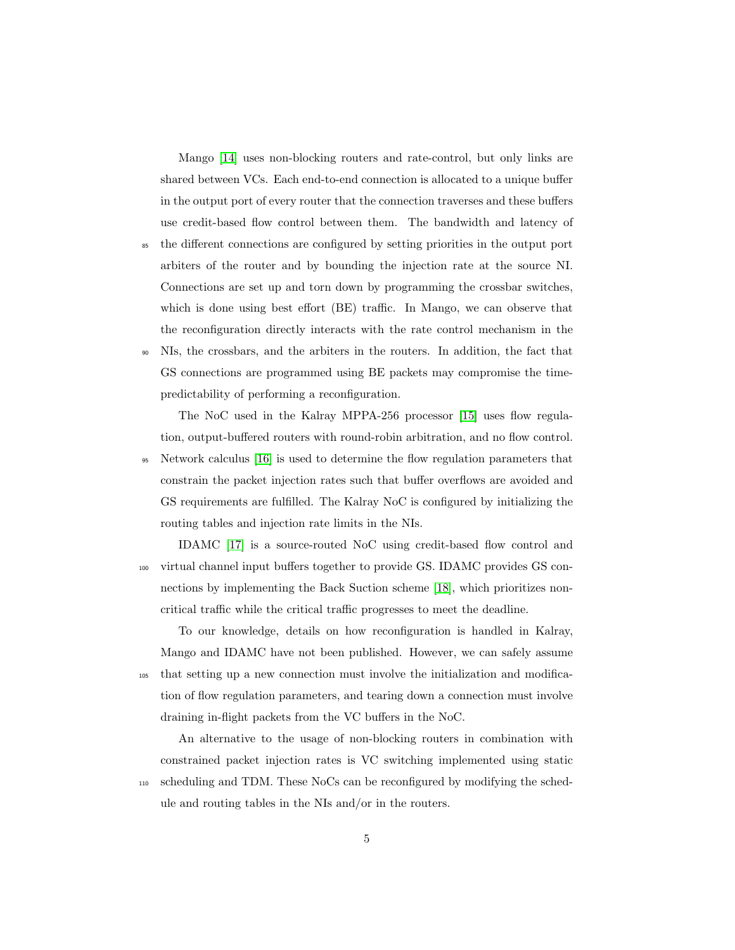Mango [\[14\]](#page-38-3) uses non-blocking routers and rate-control, but only links are shared between VCs. Each end-to-end connection is allocated to a unique buffer in the output port of every router that the connection traverses and these buffers use credit-based flow control between them. The bandwidth and latency of

- <sup>85</sup> the different connections are configured by setting priorities in the output port arbiters of the router and by bounding the injection rate at the source NI. Connections are set up and torn down by programming the crossbar switches, which is done using best effort (BE) traffic. In Mango, we can observe that the reconfiguration directly interacts with the rate control mechanism in the <sup>90</sup> NIs, the crossbars, and the arbiters in the routers. In addition, the fact that
- GS connections are programmed using BE packets may compromise the timepredictability of performing a reconfiguration.

The NoC used in the Kalray MPPA-256 processor [\[15\]](#page-38-4) uses flow regulation, output-buffered routers with round-robin arbitration, and no flow control. <sup>95</sup> Network calculus [\[16\]](#page-38-5) is used to determine the flow regulation parameters that constrain the packet injection rates such that buffer overflows are avoided and GS requirements are fulfilled. The Kalray NoC is configured by initializing the routing tables and injection rate limits in the NIs.

IDAMC [\[17\]](#page-38-6) is a source-routed NoC using credit-based flow control and <sup>100</sup> virtual channel input buffers together to provide GS. IDAMC provides GS connections by implementing the Back Suction scheme [\[18\]](#page-38-7), which prioritizes noncritical traffic while the critical traffic progresses to meet the deadline.

To our knowledge, details on how reconfiguration is handled in Kalray, Mango and IDAMC have not been published. However, we can safely assume <sup>105</sup> that setting up a new connection must involve the initialization and modification of flow regulation parameters, and tearing down a connection must involve draining in-flight packets from the VC buffers in the NoC.

An alternative to the usage of non-blocking routers in combination with constrained packet injection rates is VC switching implemented using static <sup>110</sup> scheduling and TDM. These NoCs can be reconfigured by modifying the schedule and routing tables in the NIs and/or in the routers.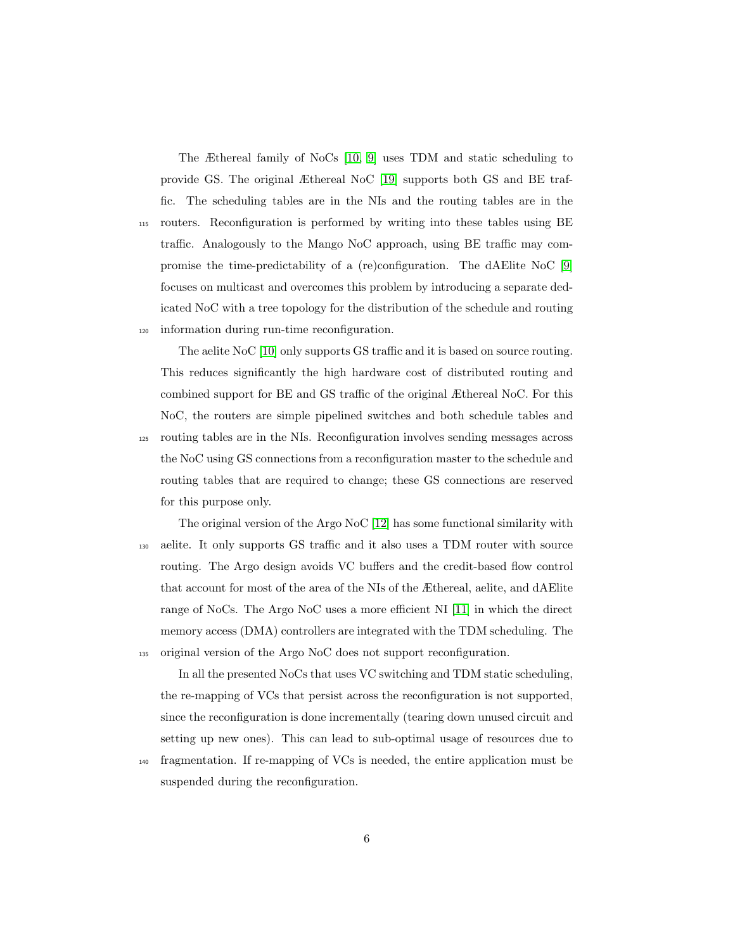The Æthereal family of NoCs [\[10,](#page-37-6) [9\]](#page-37-5) uses TDM and static scheduling to provide GS. The original Æthereal NoC [\[19\]](#page-39-0) supports both GS and BE traffic. The scheduling tables are in the NIs and the routing tables are in the <sup>115</sup> routers. Reconfiguration is performed by writing into these tables using BE traffic. Analogously to the Mango NoC approach, using BE traffic may compromise the time-predictability of a (re)configuration. The dAElite NoC [\[9\]](#page-37-5) focuses on multicast and overcomes this problem by introducing a separate dedicated NoC with a tree topology for the distribution of the schedule and routing <sup>120</sup> information during run-time reconfiguration.

The aelite NoC [\[10\]](#page-37-6) only supports GS traffic and it is based on source routing. This reduces significantly the high hardware cost of distributed routing and combined support for BE and GS traffic of the original Æthereal NoC. For this NoC, the routers are simple pipelined switches and both schedule tables and <sup>125</sup> routing tables are in the NIs. Reconfiguration involves sending messages across the NoC using GS connections from a reconfiguration master to the schedule and routing tables that are required to change; these GS connections are reserved for this purpose only.

The original version of the Argo NoC [\[12\]](#page-38-1) has some functional similarity with <sup>130</sup> aelite. It only supports GS traffic and it also uses a TDM router with source routing. The Argo design avoids VC buffers and the credit-based flow control that account for most of the area of the NIs of the Æthereal, aelite, and dAElite range of NoCs. The Argo NoC uses a more efficient NI [\[11\]](#page-38-0) in which the direct memory access (DMA) controllers are integrated with the TDM scheduling. The <sup>135</sup> original version of the Argo NoC does not support reconfiguration.

In all the presented NoCs that uses VC switching and TDM static scheduling, the re-mapping of VCs that persist across the reconfiguration is not supported, since the reconfiguration is done incrementally (tearing down unused circuit and setting up new ones). This can lead to sub-optimal usage of resources due to

<sup>140</sup> fragmentation. If re-mapping of VCs is needed, the entire application must be suspended during the reconfiguration.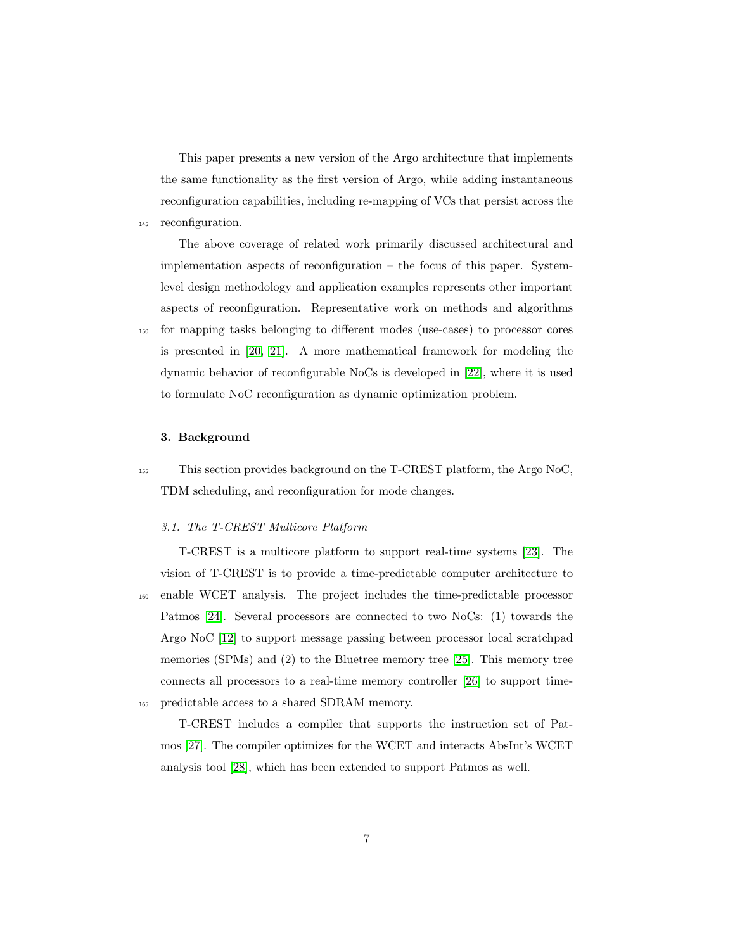This paper presents a new version of the Argo architecture that implements the same functionality as the first version of Argo, while adding instantaneous reconfiguration capabilities, including re-mapping of VCs that persist across the <sup>145</sup> reconfiguration.

The above coverage of related work primarily discussed architectural and implementation aspects of reconfiguration – the focus of this paper. Systemlevel design methodology and application examples represents other important aspects of reconfiguration. Representative work on methods and algorithms <sup>150</sup> for mapping tasks belonging to different modes (use-cases) to processor cores is presented in [\[20,](#page-39-1) [21\]](#page-39-2). A more mathematical framework for modeling the dynamic behavior of reconfigurable NoCs is developed in [\[22\]](#page-39-3), where it is used to formulate NoC reconfiguration as dynamic optimization problem.

#### <span id="page-6-0"></span>3. Background

<sup>155</sup> This section provides background on the T-CREST platform, the Argo NoC, TDM scheduling, and reconfiguration for mode changes.

# 3.1. The T-CREST Multicore Platform

T-CREST is a multicore platform to support real-time systems [\[23\]](#page-39-4). The vision of T-CREST is to provide a time-predictable computer architecture to <sup>160</sup> enable WCET analysis. The project includes the time-predictable processor Patmos [\[24\]](#page-39-5). Several processors are connected to two NoCs: (1) towards the Argo NoC [\[12\]](#page-38-1) to support message passing between processor local scratchpad memories (SPMs) and (2) to the Bluetree memory tree [\[25\]](#page-39-6). This memory tree connects all processors to a real-time memory controller [\[26\]](#page-40-0) to support time-<sup>165</sup> predictable access to a shared SDRAM memory.

T-CREST includes a compiler that supports the instruction set of Patmos [\[27\]](#page-40-1). The compiler optimizes for the WCET and interacts AbsInt's WCET analysis tool [\[28\]](#page-40-2), which has been extended to support Patmos as well.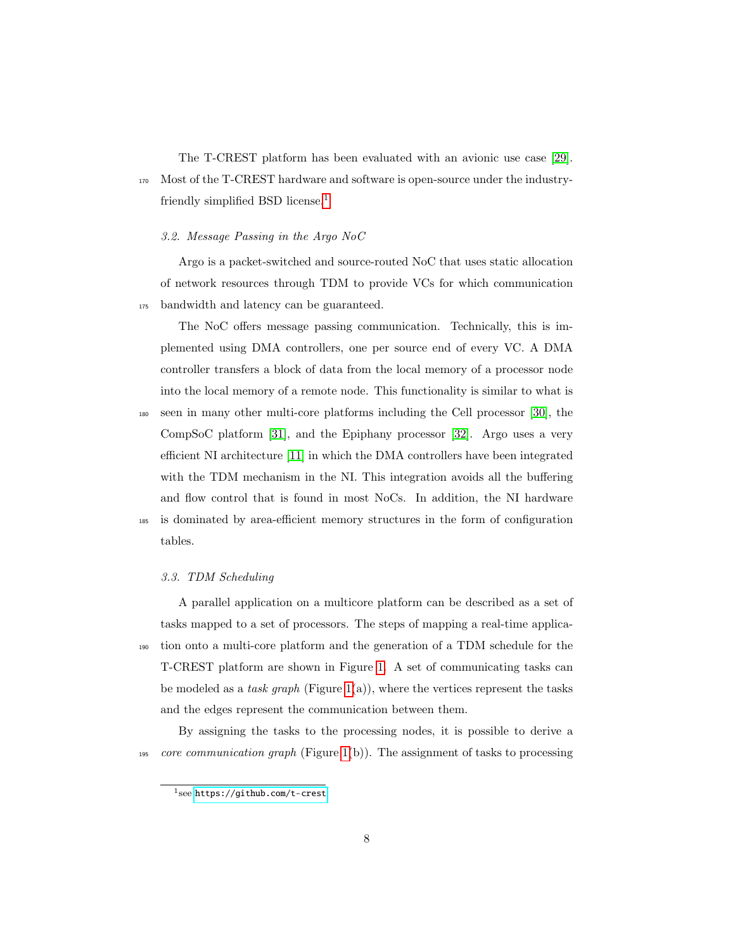The T-CREST platform has been evaluated with an avionic use case [\[29\]](#page-40-3). <sup>170</sup> Most of the T-CREST hardware and software is open-source under the industry-friendly simplified BSD license.<sup>[1](#page-7-0)</sup>

#### 3.2. Message Passing in the Argo NoC

Argo is a packet-switched and source-routed NoC that uses static allocation of network resources through TDM to provide VCs for which communication <sup>175</sup> bandwidth and latency can be guaranteed.

The NoC offers message passing communication. Technically, this is implemented using DMA controllers, one per source end of every VC. A DMA controller transfers a block of data from the local memory of a processor node into the local memory of a remote node. This functionality is similar to what is <sup>180</sup> seen in many other multi-core platforms including the Cell processor [\[30\]](#page-40-4), the CompSoC platform [\[31\]](#page-40-5), and the Epiphany processor [\[32\]](#page-40-6). Argo uses a very efficient NI architecture [\[11\]](#page-38-0) in which the DMA controllers have been integrated with the TDM mechanism in the NI. This integration avoids all the buffering and flow control that is found in most NoCs. In addition, the NI hardware <sup>185</sup> is dominated by area-efficient memory structures in the form of configuration tables.

#### <span id="page-7-1"></span>3.3. TDM Scheduling

A parallel application on a multicore platform can be described as a set of tasks mapped to a set of processors. The steps of mapping a real-time applica-<sup>190</sup> tion onto a multi-core platform and the generation of a TDM schedule for the T-CREST platform are shown in Figure [1.](#page-8-0) A set of communicating tasks can be modeled as a task graph (Figure [1\(](#page-8-0)a)), where the vertices represent the tasks and the edges represent the communication between them.

By assigning the tasks to the processing nodes, it is possible to derive a 195 core communication graph (Figure [1\(](#page-8-0)b)). The assignment of tasks to processing

<span id="page-7-0"></span><sup>1</sup> see <https://github.com/t-crest>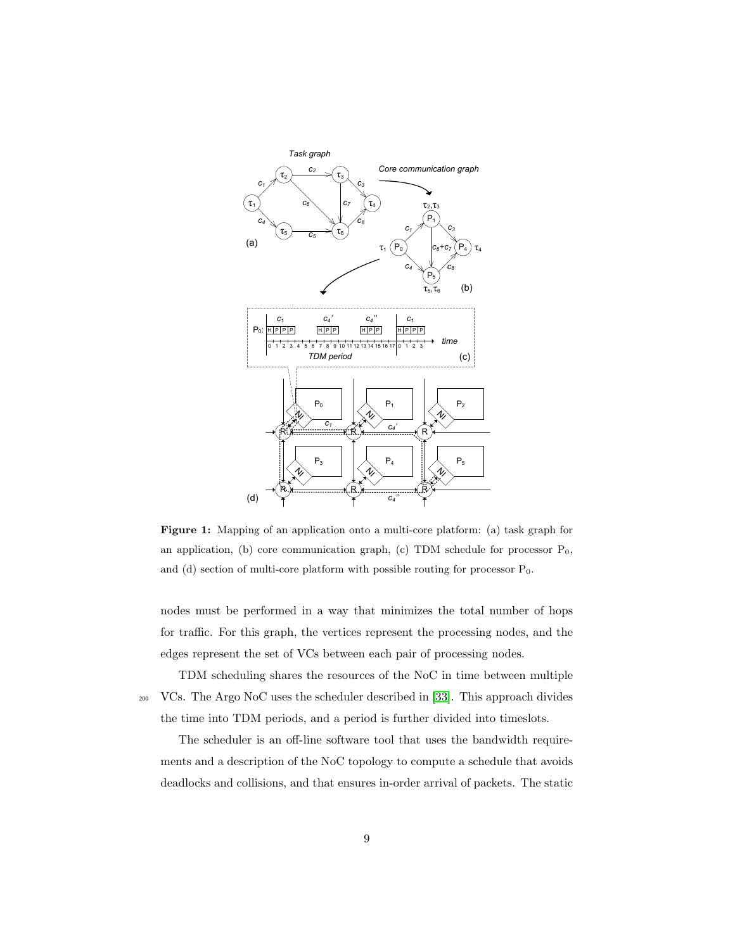<span id="page-8-0"></span>

Figure 1: Mapping of an application onto a multi-core platform: (a) task graph for an application, (b) core communication graph, (c) TDM schedule for processor  $P_0$ , and (d) section of multi-core platform with possible routing for processor  $P_0$ .

nodes must be performed in a way that minimizes the total number of hops for traffic. For this graph, the vertices represent the processing nodes, and the edges represent the set of VCs between each pair of processing nodes.

TDM scheduling shares the resources of the NoC in time between multiple <sup>200</sup> VCs. The Argo NoC uses the scheduler described in [\[33\]](#page-40-7). This approach divides the time into TDM periods, and a period is further divided into timeslots.

The scheduler is an off-line software tool that uses the bandwidth requirements and a description of the NoC topology to compute a schedule that avoids deadlocks and collisions, and that ensures in-order arrival of packets. The static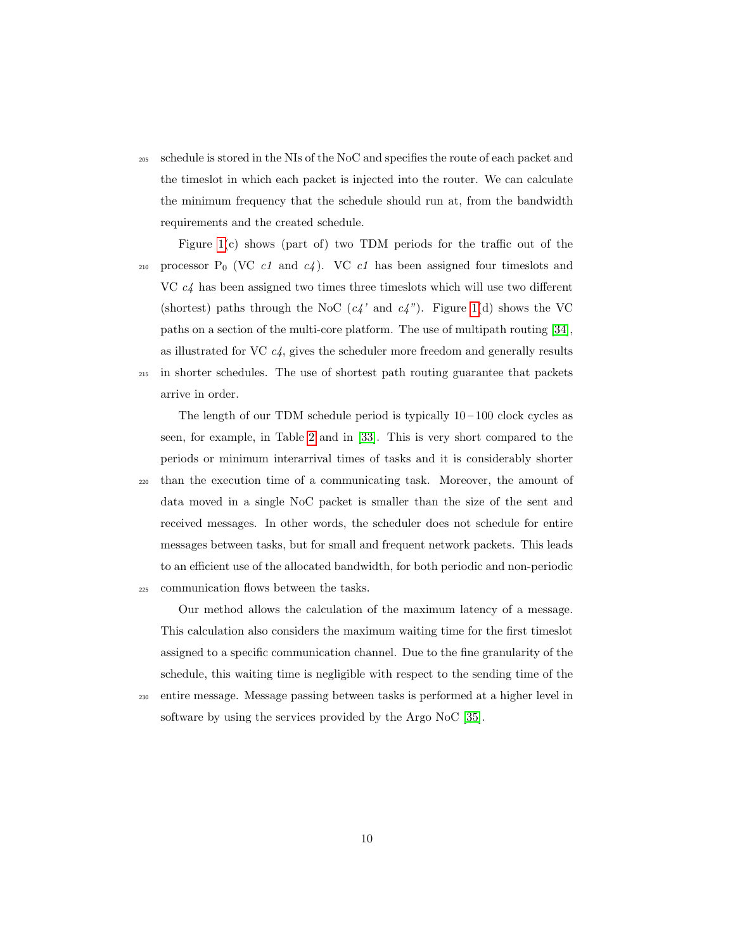<sup>205</sup> schedule is stored in the NIs of the NoC and specifies the route of each packet and the timeslot in which each packet is injected into the router. We can calculate the minimum frequency that the schedule should run at, from the bandwidth requirements and the created schedule.

Figure [1\(](#page-8-0)c) shows (part of) two TDM periods for the traffic out of the 210 processor  $P_0$  (VC *c1* and *c4*). VC *c1* has been assigned four timeslots and VC  $c4$  has been assigned two times three timeslots which will use two different (shortest) paths through the NoC  $(c4'$  and  $c4'$ ). Figure [1\(](#page-8-0)d) shows the VC paths on a section of the multi-core platform. The use of multipath routing [\[34\]](#page-41-0), as illustrated for VC  $c_4$ , gives the scheduler more freedom and generally results <sup>215</sup> in shorter schedules. The use of shortest path routing guarantee that packets arrive in order.

The length of our TDM schedule period is typically  $10-100$  clock cycles as seen, for example, in Table [2](#page-27-0) and in [\[33\]](#page-40-7). This is very short compared to the periods or minimum interarrival times of tasks and it is considerably shorter <sup>220</sup> than the execution time of a communicating task. Moreover, the amount of data moved in a single NoC packet is smaller than the size of the sent and received messages. In other words, the scheduler does not schedule for entire messages between tasks, but for small and frequent network packets. This leads to an efficient use of the allocated bandwidth, for both periodic and non-periodic <sup>225</sup> communication flows between the tasks.

Our method allows the calculation of the maximum latency of a message. This calculation also considers the maximum waiting time for the first timeslot assigned to a specific communication channel. Due to the fine granularity of the schedule, this waiting time is negligible with respect to the sending time of the <sup>230</sup> entire message. Message passing between tasks is performed at a higher level in

software by using the services provided by the Argo NoC [\[35\]](#page-41-1).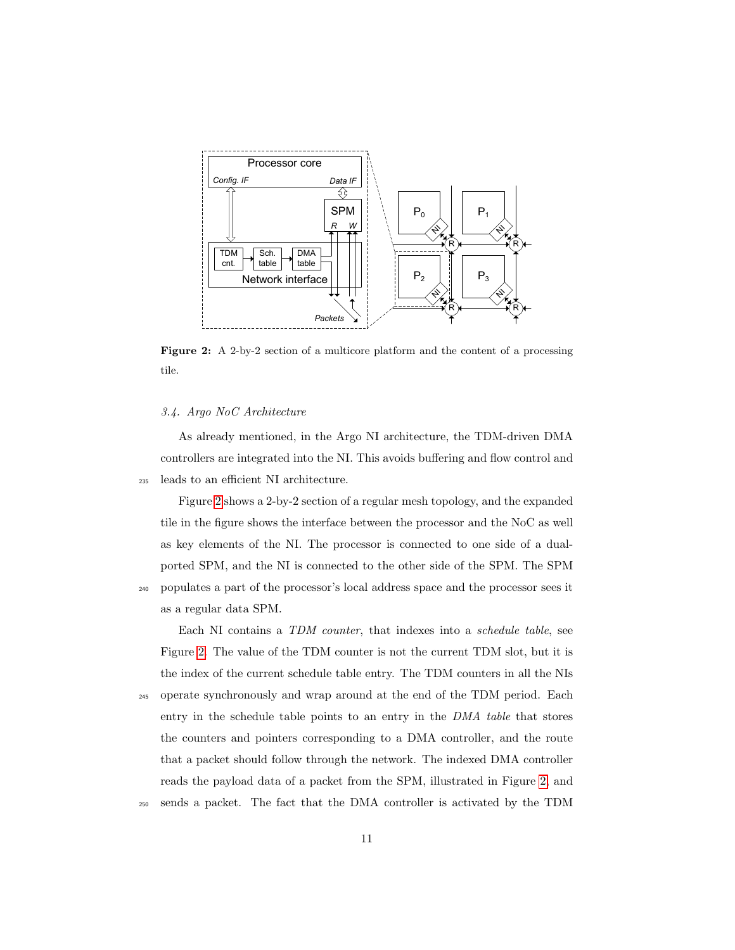<span id="page-10-0"></span>

Figure 2: A 2-by-2 section of a multicore platform and the content of a processing tile.

#### 3.4. Argo NoC Architecture

As already mentioned, in the Argo NI architecture, the TDM-driven DMA controllers are integrated into the NI. This avoids buffering and flow control and <sup>235</sup> leads to an efficient NI architecture.

Figure [2](#page-10-0) shows a 2-by-2 section of a regular mesh topology, and the expanded tile in the figure shows the interface between the processor and the NoC as well as key elements of the NI. The processor is connected to one side of a dualported SPM, and the NI is connected to the other side of the SPM. The SPM <sup>240</sup> populates a part of the processor's local address space and the processor sees it

as a regular data SPM.

Each NI contains a TDM counter, that indexes into a schedule table, see Figure [2.](#page-10-0) The value of the TDM counter is not the current TDM slot, but it is the index of the current schedule table entry. The TDM counters in all the NIs <sup>245</sup> operate synchronously and wrap around at the end of the TDM period. Each

entry in the schedule table points to an entry in the DMA table that stores the counters and pointers corresponding to a DMA controller, and the route that a packet should follow through the network. The indexed DMA controller reads the payload data of a packet from the SPM, illustrated in Figure [2,](#page-10-0) and

<sup>250</sup> sends a packet. The fact that the DMA controller is activated by the TDM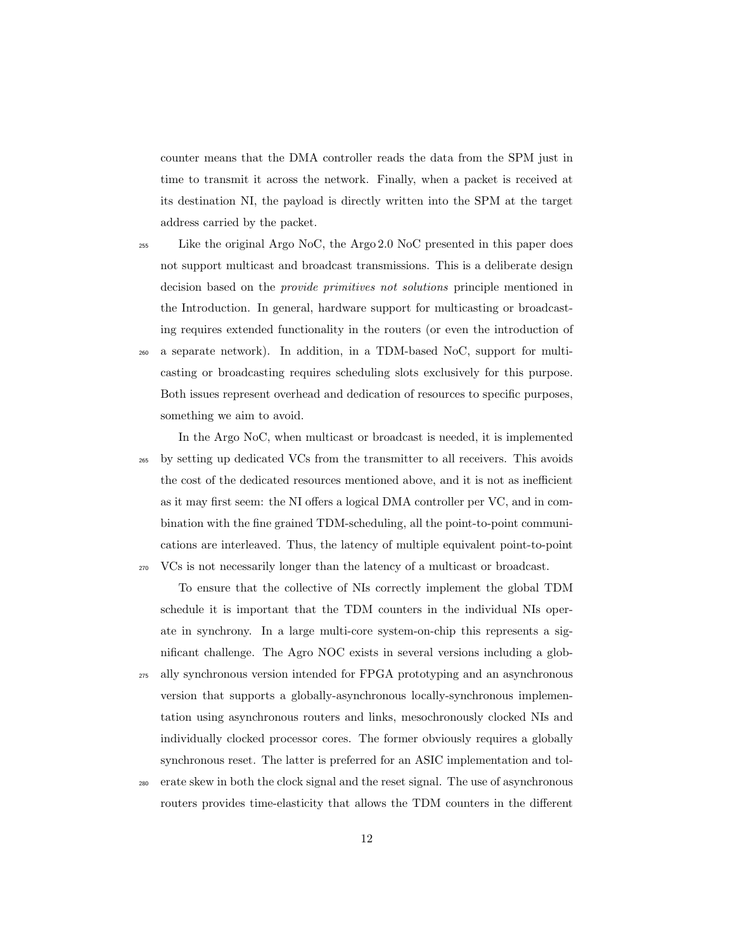counter means that the DMA controller reads the data from the SPM just in time to transmit it across the network. Finally, when a packet is received at its destination NI, the payload is directly written into the SPM at the target address carried by the packet.

<sup>255</sup> Like the original Argo NoC, the Argo 2.0 NoC presented in this paper does not support multicast and broadcast transmissions. This is a deliberate design decision based on the provide primitives not solutions principle mentioned in the Introduction. In general, hardware support for multicasting or broadcasting requires extended functionality in the routers (or even the introduction of <sup>260</sup> a separate network). In addition, in a TDM-based NoC, support for multicasting or broadcasting requires scheduling slots exclusively for this purpose. Both issues represent overhead and dedication of resources to specific purposes, something we aim to avoid.

In the Argo NoC, when multicast or broadcast is needed, it is implemented <sup>265</sup> by setting up dedicated VCs from the transmitter to all receivers. This avoids the cost of the dedicated resources mentioned above, and it is not as inefficient as it may first seem: the NI offers a logical DMA controller per VC, and in combination with the fine grained TDM-scheduling, all the point-to-point communications are interleaved. Thus, the latency of multiple equivalent point-to-point <sup>270</sup> VCs is not necessarily longer than the latency of a multicast or broadcast.

To ensure that the collective of NIs correctly implement the global TDM schedule it is important that the TDM counters in the individual NIs operate in synchrony. In a large multi-core system-on-chip this represents a significant challenge. The Agro NOC exists in several versions including a glob-<sup>275</sup> ally synchronous version intended for FPGA prototyping and an asynchronous version that supports a globally-asynchronous locally-synchronous implementation using asynchronous routers and links, mesochronously clocked NIs and individually clocked processor cores. The former obviously requires a globally

<sup>280</sup> erate skew in both the clock signal and the reset signal. The use of asynchronous routers provides time-elasticity that allows the TDM counters in the different

synchronous reset. The latter is preferred for an ASIC implementation and tol-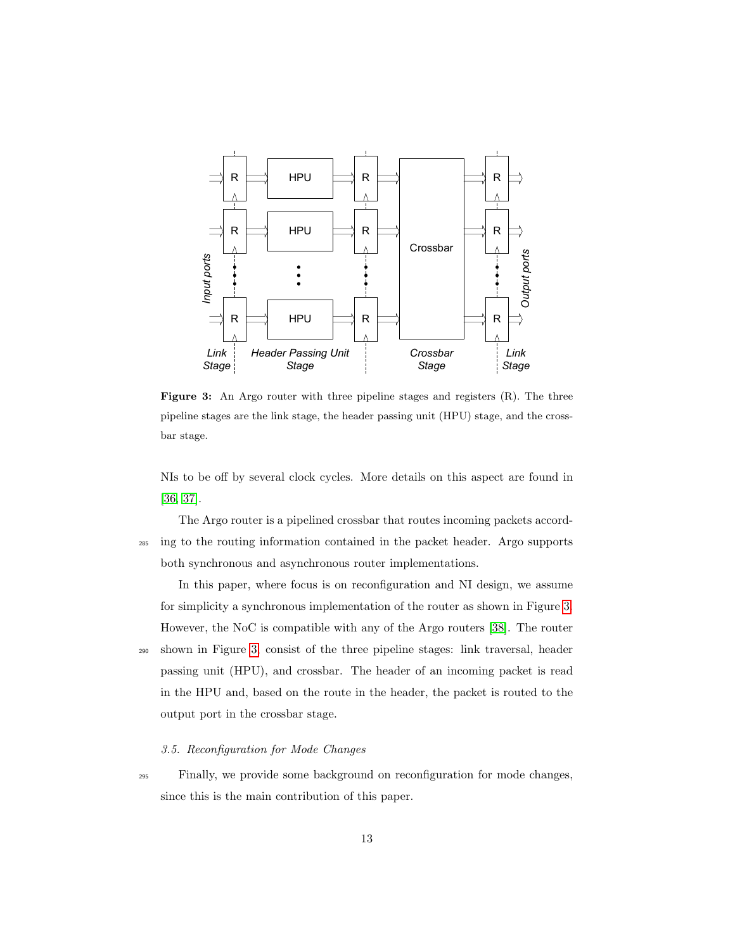<span id="page-12-0"></span>

Figure 3: An Argo router with three pipeline stages and registers  $(R)$ . The three pipeline stages are the link stage, the header passing unit (HPU) stage, and the crossbar stage.

NIs to be off by several clock cycles. More details on this aspect are found in [\[36,](#page-41-2) [37\]](#page-41-3).

The Argo router is a pipelined crossbar that routes incoming packets accord-<sup>285</sup> ing to the routing information contained in the packet header. Argo supports both synchronous and asynchronous router implementations.

In this paper, where focus is on reconfiguration and NI design, we assume for simplicity a synchronous implementation of the router as shown in Figure [3.](#page-12-0) However, the NoC is compatible with any of the Argo routers [\[38\]](#page-41-4). The router <sup>290</sup> shown in Figure [3,](#page-12-0) consist of the three pipeline stages: link traversal, header passing unit (HPU), and crossbar. The header of an incoming packet is read in the HPU and, based on the route in the header, the packet is routed to the output port in the crossbar stage.

#### 3.5. Reconfiguration for Mode Changes

<sup>295</sup> Finally, we provide some background on reconfiguration for mode changes, since this is the main contribution of this paper.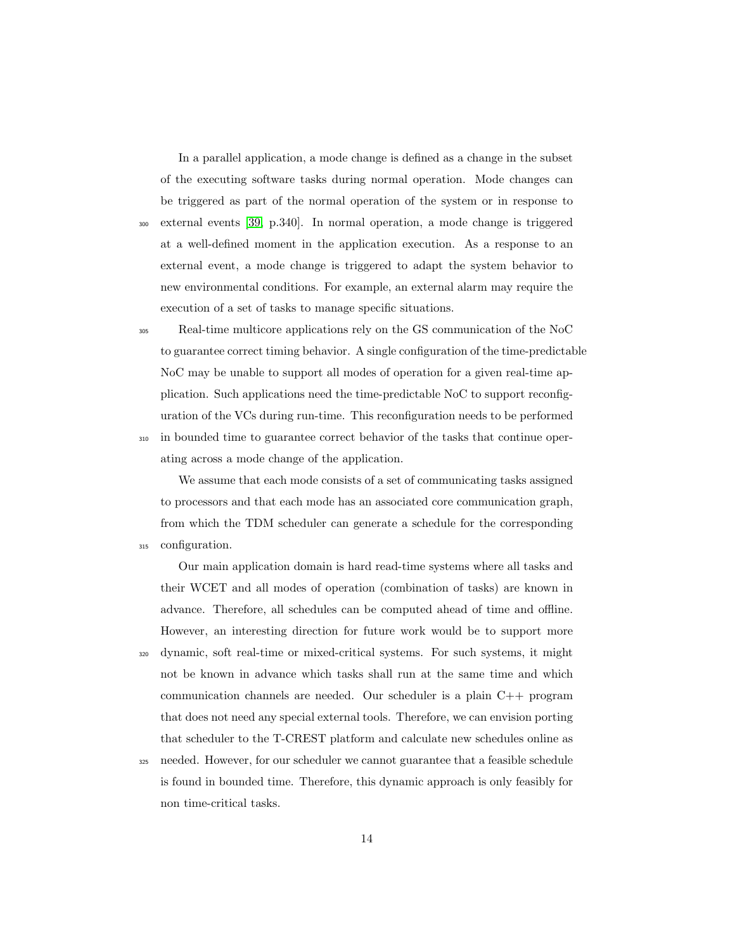In a parallel application, a mode change is defined as a change in the subset of the executing software tasks during normal operation. Mode changes can be triggered as part of the normal operation of the system or in response to <sup>300</sup> external events [\[39,](#page-41-5) p.340]. In normal operation, a mode change is triggered at a well-defined moment in the application execution. As a response to an external event, a mode change is triggered to adapt the system behavior to new environmental conditions. For example, an external alarm may require the execution of a set of tasks to manage specific situations.

<sup>305</sup> Real-time multicore applications rely on the GS communication of the NoC to guarantee correct timing behavior. A single configuration of the time-predictable NoC may be unable to support all modes of operation for a given real-time application. Such applications need the time-predictable NoC to support reconfiguration of the VCs during run-time. This reconfiguration needs to be performed <sup>310</sup> in bounded time to guarantee correct behavior of the tasks that continue operating across a mode change of the application.

We assume that each mode consists of a set of communicating tasks assigned to processors and that each mode has an associated core communication graph, from which the TDM scheduler can generate a schedule for the corresponding <sup>315</sup> configuration.

Our main application domain is hard read-time systems where all tasks and their WCET and all modes of operation (combination of tasks) are known in advance. Therefore, all schedules can be computed ahead of time and offline. However, an interesting direction for future work would be to support more <sup>320</sup> dynamic, soft real-time or mixed-critical systems. For such systems, it might not be known in advance which tasks shall run at the same time and which communication channels are needed. Our scheduler is a plain C++ program that does not need any special external tools. Therefore, we can envision porting that scheduler to the T-CREST platform and calculate new schedules online as

<sup>325</sup> needed. However, for our scheduler we cannot guarantee that a feasible schedule is found in bounded time. Therefore, this dynamic approach is only feasibly for non time-critical tasks.

14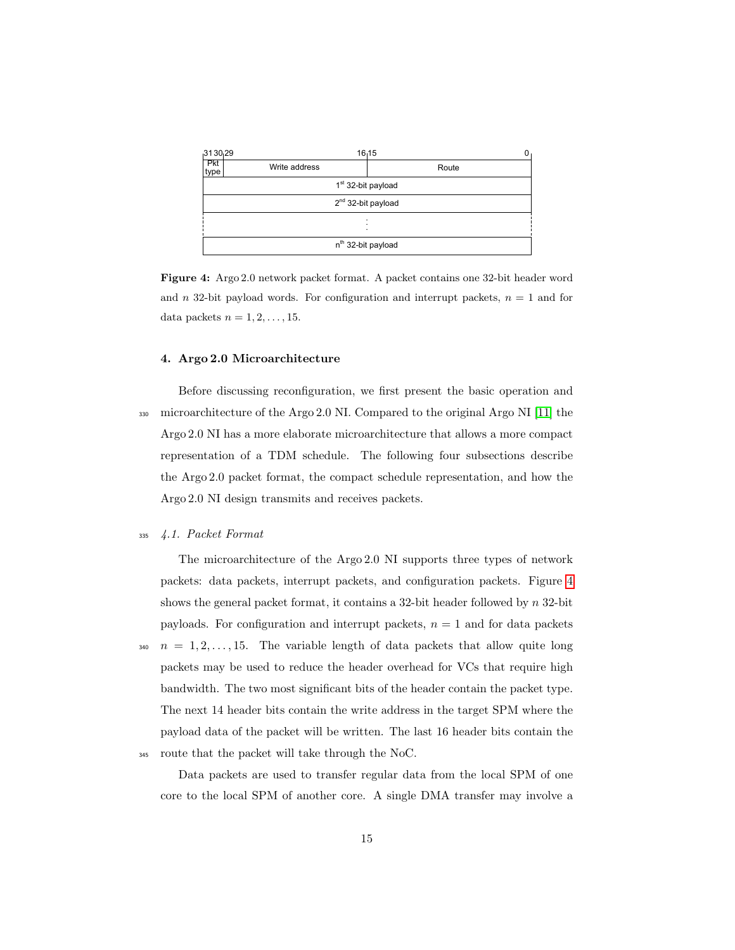<span id="page-14-1"></span>

Figure 4: Argo 2.0 network packet format. A packet contains one 32-bit header word and n 32-bit payload words. For configuration and interrupt packets,  $n = 1$  and for data packets  $n = 1, 2, \ldots, 15$ .

#### <span id="page-14-0"></span>4. Argo 2.0 Microarchitecture

Before discussing reconfiguration, we first present the basic operation and <sup>330</sup> microarchitecture of the Argo 2.0 NI. Compared to the original Argo NI [\[11\]](#page-38-0) the Argo 2.0 NI has a more elaborate microarchitecture that allows a more compact representation of a TDM schedule. The following four subsections describe the Argo 2.0 packet format, the compact schedule representation, and how the Argo 2.0 NI design transmits and receives packets.

# <sup>335</sup> 4.1. Packet Format

The microarchitecture of the Argo 2.0 NI supports three types of network packets: data packets, interrupt packets, and configuration packets. Figure [4](#page-14-1) shows the general packet format, it contains a 32-bit header followed by  $n$  32-bit payloads. For configuration and interrupt packets,  $n = 1$  and for data packets  $n = 1, 2, \ldots, 15$ . The variable length of data packets that allow quite long packets may be used to reduce the header overhead for VCs that require high bandwidth. The two most significant bits of the header contain the packet type. The next 14 header bits contain the write address in the target SPM where the payload data of the packet will be written. The last 16 header bits contain the <sup>345</sup> route that the packet will take through the NoC.

Data packets are used to transfer regular data from the local SPM of one core to the local SPM of another core. A single DMA transfer may involve a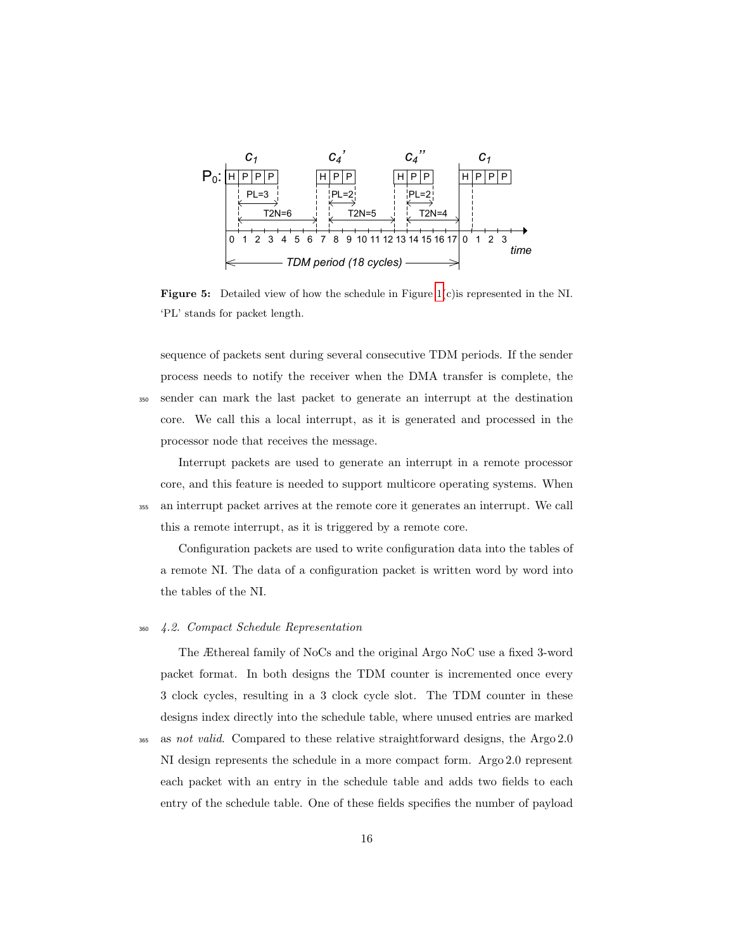<span id="page-15-0"></span>

Figure 5: Detailed view of how the schedule in Figure [1\(](#page-8-0)c)is represented in the NI. 'PL' stands for packet length.

sequence of packets sent during several consecutive TDM periods. If the sender process needs to notify the receiver when the DMA transfer is complete, the <sup>350</sup> sender can mark the last packet to generate an interrupt at the destination core. We call this a local interrupt, as it is generated and processed in the processor node that receives the message.

Interrupt packets are used to generate an interrupt in a remote processor core, and this feature is needed to support multicore operating systems. When <sup>355</sup> an interrupt packet arrives at the remote core it generates an interrupt. We call this a remote interrupt, as it is triggered by a remote core.

Configuration packets are used to write configuration data into the tables of a remote NI. The data of a configuration packet is written word by word into the tables of the NI.

# <sup>360</sup> 4.2. Compact Schedule Representation

The Æthereal family of NoCs and the original Argo NoC use a fixed 3-word packet format. In both designs the TDM counter is incremented once every 3 clock cycles, resulting in a 3 clock cycle slot. The TDM counter in these designs index directly into the schedule table, where unused entries are marked

365 as not valid. Compared to these relative straightforward designs, the Argo 2.0 NI design represents the schedule in a more compact form. Argo 2.0 represent each packet with an entry in the schedule table and adds two fields to each entry of the schedule table. One of these fields specifies the number of payload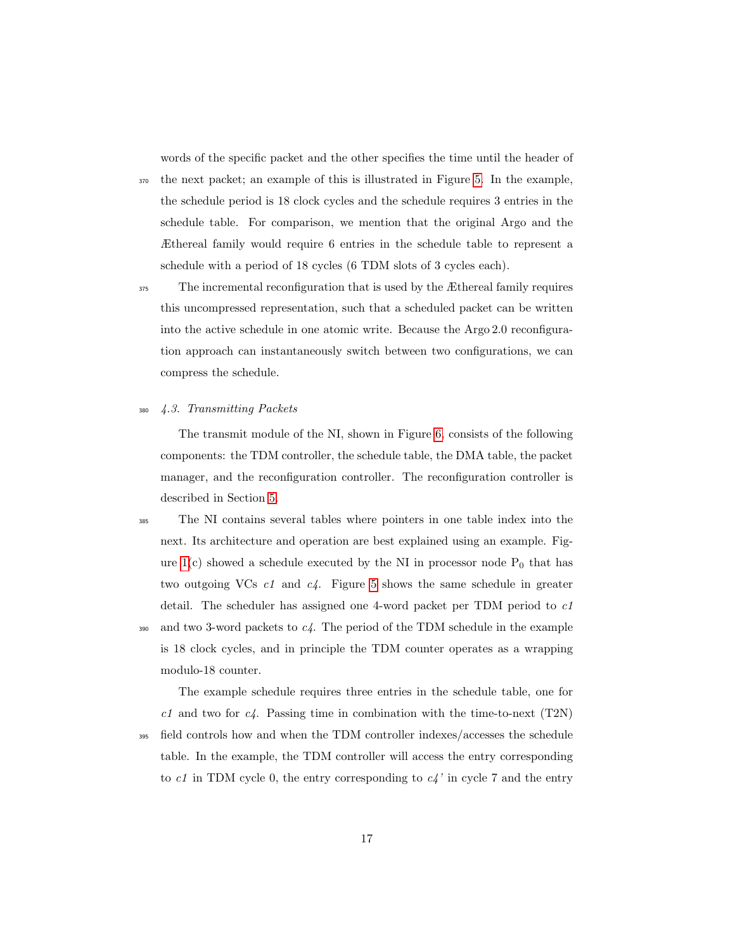words of the specific packet and the other specifies the time until the header of

<sup>370</sup> the next packet; an example of this is illustrated in Figure [5.](#page-15-0) In the example, the schedule period is 18 clock cycles and the schedule requires 3 entries in the schedule table. For comparison, we mention that the original Argo and the Æthereal family would require 6 entries in the schedule table to represent a schedule with a period of 18 cycles (6 TDM slots of 3 cycles each).

<sup>375</sup> The incremental reconfiguration that is used by the Æthereal family requires this uncompressed representation, such that a scheduled packet can be written into the active schedule in one atomic write. Because the Argo 2.0 reconfiguration approach can instantaneously switch between two configurations, we can compress the schedule.

# <sup>380</sup> 4.3. Transmitting Packets

The transmit module of the NI, shown in Figure [6,](#page-17-0) consists of the following components: the TDM controller, the schedule table, the DMA table, the packet manager, and the reconfiguration controller. The reconfiguration controller is described in Section [5.](#page-20-0)

<sup>385</sup> The NI contains several tables where pointers in one table index into the next. Its architecture and operation are best explained using an example. Figure  $1(c)$  showed a schedule executed by the NI in processor node  $P_0$  that has two outgoing VCs c1 and c4. Figure [5](#page-15-0) shows the same schedule in greater detail. The scheduler has assigned one 4-word packet per TDM period to  $c1$  $390$  and two 3-word packets to  $c4$ . The period of the TDM schedule in the example is 18 clock cycles, and in principle the TDM counter operates as a wrapping modulo-18 counter.

The example schedule requires three entries in the schedule table, one for  $c1$  and two for  $c4$ . Passing time in combination with the time-to-next (T2N) <sup>395</sup> field controls how and when the TDM controller indexes/accesses the schedule table. In the example, the TDM controller will access the entry corresponding to  $c_1$  in TDM cycle 0, the entry corresponding to  $c_4$ ' in cycle 7 and the entry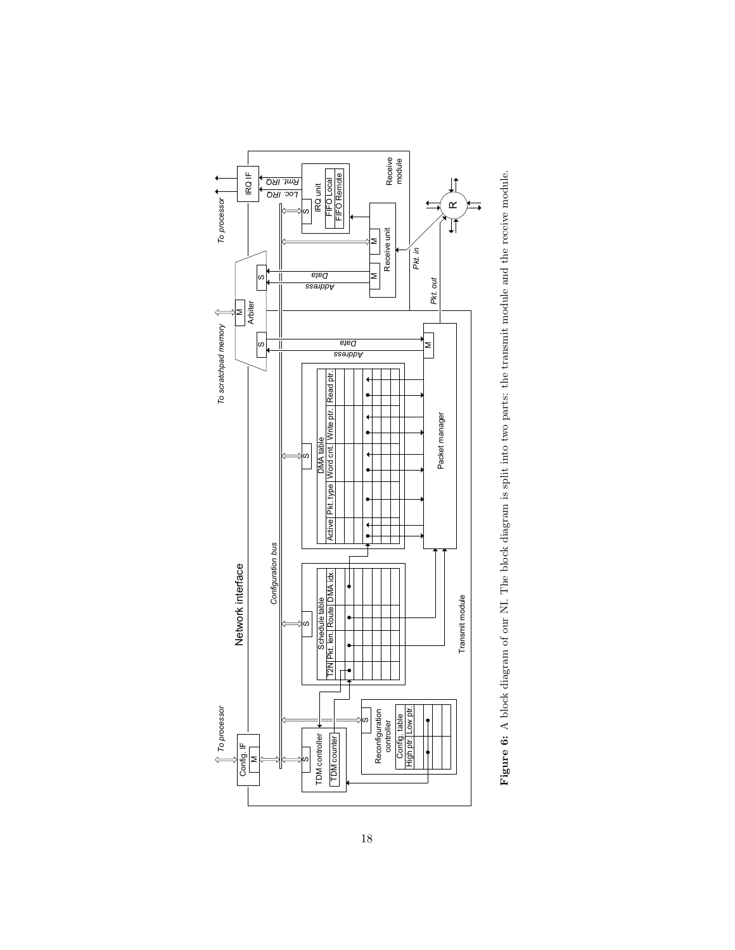<span id="page-17-0"></span>

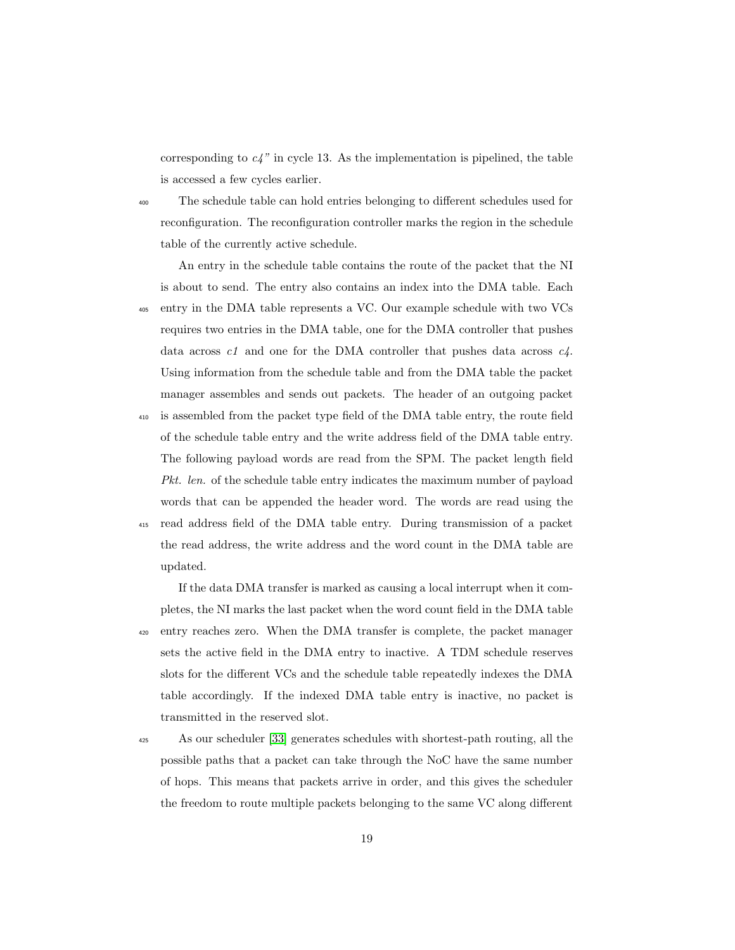corresponding to  $c_4$ " in cycle 13. As the implementation is pipelined, the table is accessed a few cycles earlier.

<sup>400</sup> The schedule table can hold entries belonging to different schedules used for reconfiguration. The reconfiguration controller marks the region in the schedule table of the currently active schedule.

An entry in the schedule table contains the route of the packet that the NI is about to send. The entry also contains an index into the DMA table. Each <sup>405</sup> entry in the DMA table represents a VC. Our example schedule with two VCs requires two entries in the DMA table, one for the DMA controller that pushes data across  $c_1$  and one for the DMA controller that pushes data across  $c_4$ . Using information from the schedule table and from the DMA table the packet manager assembles and sends out packets. The header of an outgoing packet <sup>410</sup> is assembled from the packet type field of the DMA table entry, the route field of the schedule table entry and the write address field of the DMA table entry. The following payload words are read from the SPM. The packet length field Pkt. len. of the schedule table entry indicates the maximum number of payload words that can be appended the header word. The words are read using the <sup>415</sup> read address field of the DMA table entry. During transmission of a packet the read address, the write address and the word count in the DMA table are updated.

If the data DMA transfer is marked as causing a local interrupt when it completes, the NI marks the last packet when the word count field in the DMA table <sup>420</sup> entry reaches zero. When the DMA transfer is complete, the packet manager sets the active field in the DMA entry to inactive. A TDM schedule reserves slots for the different VCs and the schedule table repeatedly indexes the DMA table accordingly. If the indexed DMA table entry is inactive, no packet is transmitted in the reserved slot.

<sup>425</sup> As our scheduler [\[33\]](#page-40-7) generates schedules with shortest-path routing, all the possible paths that a packet can take through the NoC have the same number of hops. This means that packets arrive in order, and this gives the scheduler the freedom to route multiple packets belonging to the same VC along different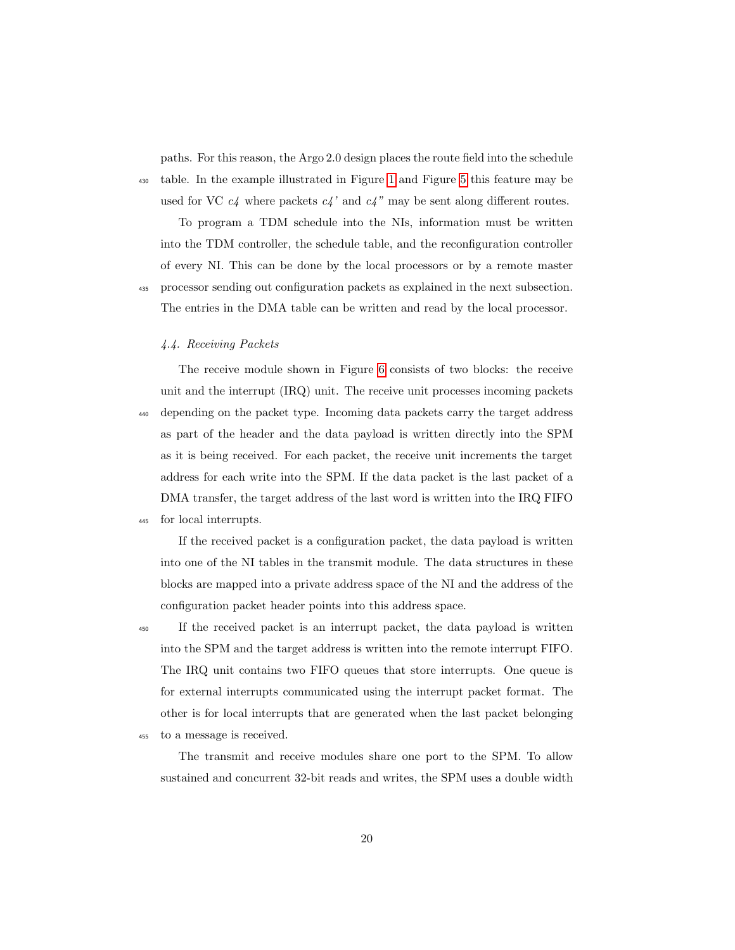paths. For this reason, the Argo 2.0 design places the route field into the schedule <sup>430</sup> table. In the example illustrated in Figure [1](#page-8-0) and Figure [5](#page-15-0) this feature may be

used for VC  $c_4$  where packets  $c_4$ ' and  $c_4$ " may be sent along different routes.

To program a TDM schedule into the NIs, information must be written into the TDM controller, the schedule table, and the reconfiguration controller of every NI. This can be done by the local processors or by a remote master

<sup>435</sup> processor sending out configuration packets as explained in the next subsection. The entries in the DMA table can be written and read by the local processor.

# 4.4. Receiving Packets

The receive module shown in Figure [6](#page-17-0) consists of two blocks: the receive unit and the interrupt (IRQ) unit. The receive unit processes incoming packets <sup>440</sup> depending on the packet type. Incoming data packets carry the target address as part of the header and the data payload is written directly into the SPM as it is being received. For each packet, the receive unit increments the target address for each write into the SPM. If the data packet is the last packet of a DMA transfer, the target address of the last word is written into the IRQ FIFO

<sup>445</sup> for local interrupts.

If the received packet is a configuration packet, the data payload is written into one of the NI tables in the transmit module. The data structures in these blocks are mapped into a private address space of the NI and the address of the configuration packet header points into this address space.

<sup>450</sup> If the received packet is an interrupt packet, the data payload is written into the SPM and the target address is written into the remote interrupt FIFO. The IRQ unit contains two FIFO queues that store interrupts. One queue is for external interrupts communicated using the interrupt packet format. The other is for local interrupts that are generated when the last packet belonging

<sup>455</sup> to a message is received.

The transmit and receive modules share one port to the SPM. To allow sustained and concurrent 32-bit reads and writes, the SPM uses a double width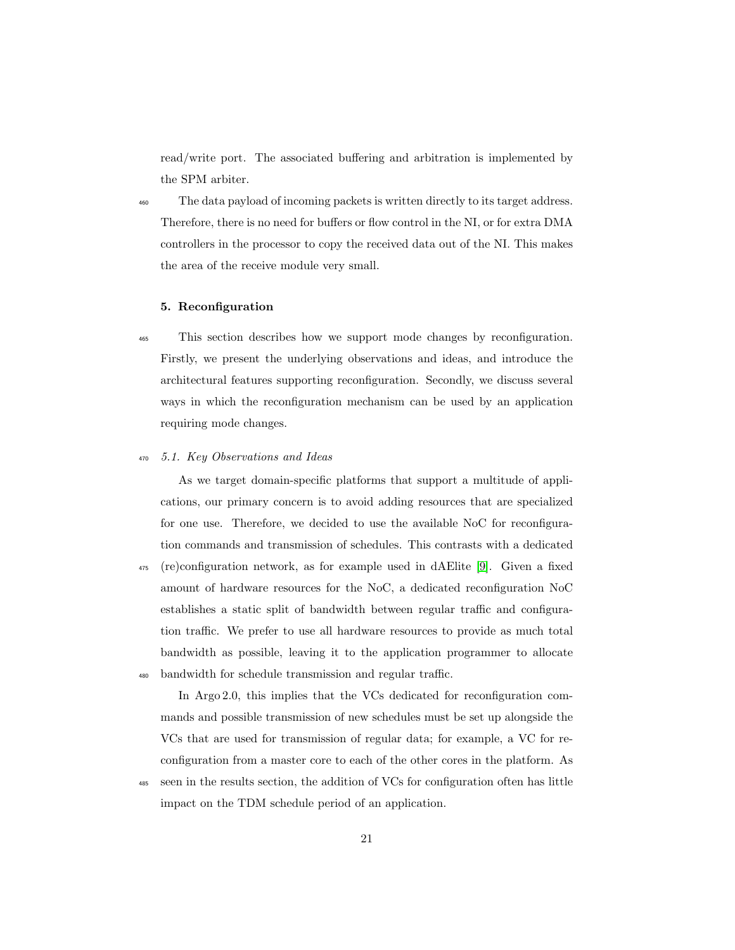read/write port. The associated buffering and arbitration is implemented by the SPM arbiter.

<sup>460</sup> The data payload of incoming packets is written directly to its target address. Therefore, there is no need for buffers or flow control in the NI, or for extra DMA controllers in the processor to copy the received data out of the NI. This makes the area of the receive module very small.

# <span id="page-20-0"></span>5. Reconfiguration

<sup>465</sup> This section describes how we support mode changes by reconfiguration. Firstly, we present the underlying observations and ideas, and introduce the architectural features supporting reconfiguration. Secondly, we discuss several ways in which the reconfiguration mechanism can be used by an application requiring mode changes.

### <sup>470</sup> 5.1. Key Observations and Ideas

As we target domain-specific platforms that support a multitude of applications, our primary concern is to avoid adding resources that are specialized for one use. Therefore, we decided to use the available NoC for reconfiguration commands and transmission of schedules. This contrasts with a dedicated <sup>475</sup> (re)configuration network, as for example used in dAElite [\[9\]](#page-37-5). Given a fixed amount of hardware resources for the NoC, a dedicated reconfiguration NoC establishes a static split of bandwidth between regular traffic and configuration traffic. We prefer to use all hardware resources to provide as much total bandwidth as possible, leaving it to the application programmer to allocate <sup>480</sup> bandwidth for schedule transmission and regular traffic.

In Argo 2.0, this implies that the VCs dedicated for reconfiguration commands and possible transmission of new schedules must be set up alongside the VCs that are used for transmission of regular data; for example, a VC for reconfiguration from a master core to each of the other cores in the platform. As

<sup>485</sup> seen in the results section, the addition of VCs for configuration often has little impact on the TDM schedule period of an application.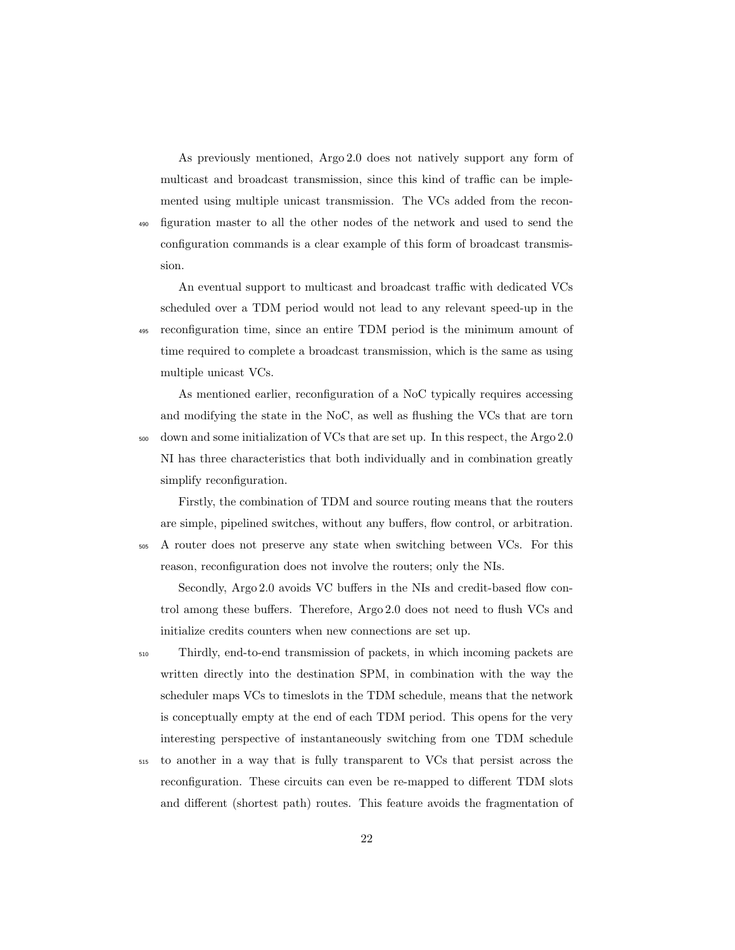As previously mentioned, Argo 2.0 does not natively support any form of multicast and broadcast transmission, since this kind of traffic can be implemented using multiple unicast transmission. The VCs added from the recon-<sup>490</sup> figuration master to all the other nodes of the network and used to send the configuration commands is a clear example of this form of broadcast transmission.

An eventual support to multicast and broadcast traffic with dedicated VCs scheduled over a TDM period would not lead to any relevant speed-up in the <sup>495</sup> reconfiguration time, since an entire TDM period is the minimum amount of time required to complete a broadcast transmission, which is the same as using multiple unicast VCs.

As mentioned earlier, reconfiguration of a NoC typically requires accessing and modifying the state in the NoC, as well as flushing the VCs that are torn <sup>500</sup> down and some initialization of VCs that are set up. In this respect, the Argo 2.0 NI has three characteristics that both individually and in combination greatly simplify reconfiguration.

Firstly, the combination of TDM and source routing means that the routers are simple, pipelined switches, without any buffers, flow control, or arbitration. <sup>505</sup> A router does not preserve any state when switching between VCs. For this reason, reconfiguration does not involve the routers; only the NIs.

Secondly, Argo 2.0 avoids VC buffers in the NIs and credit-based flow control among these buffers. Therefore, Argo 2.0 does not need to flush VCs and initialize credits counters when new connections are set up.

<sup>510</sup> Thirdly, end-to-end transmission of packets, in which incoming packets are written directly into the destination SPM, in combination with the way the scheduler maps VCs to timeslots in the TDM schedule, means that the network is conceptually empty at the end of each TDM period. This opens for the very interesting perspective of instantaneously switching from one TDM schedule

<sup>515</sup> to another in a way that is fully transparent to VCs that persist across the reconfiguration. These circuits can even be re-mapped to different TDM slots and different (shortest path) routes. This feature avoids the fragmentation of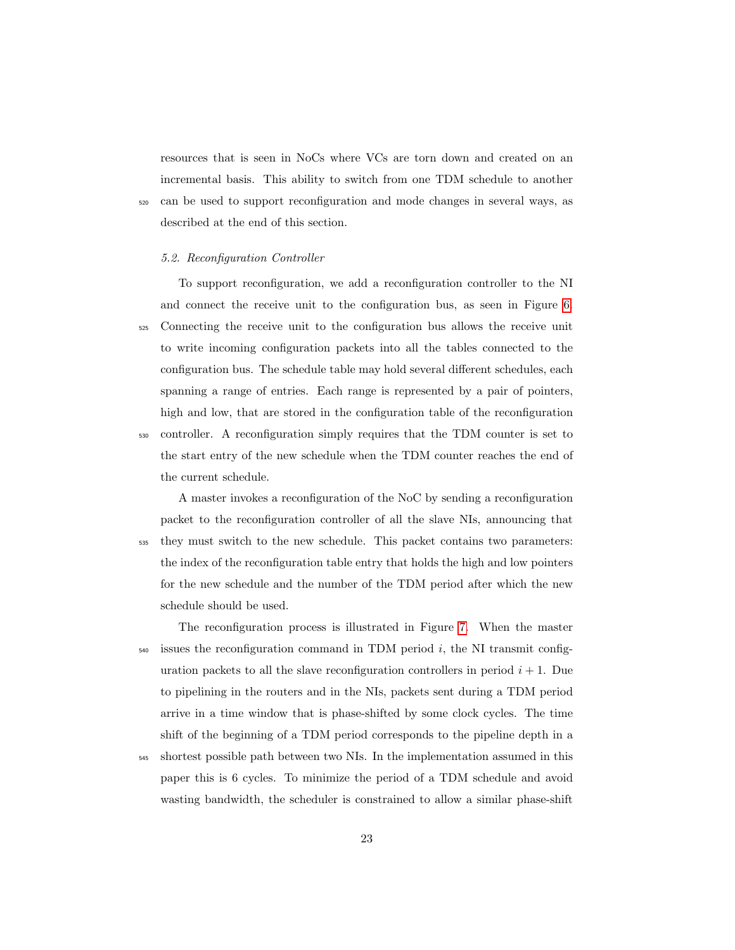resources that is seen in NoCs where VCs are torn down and created on an incremental basis. This ability to switch from one TDM schedule to another <sup>520</sup> can be used to support reconfiguration and mode changes in several ways, as described at the end of this section.

#### 5.2. Reconfiguration Controller

To support reconfiguration, we add a reconfiguration controller to the NI and connect the receive unit to the configuration bus, as seen in Figure [6.](#page-17-0) <sup>525</sup> Connecting the receive unit to the configuration bus allows the receive unit to write incoming configuration packets into all the tables connected to the configuration bus. The schedule table may hold several different schedules, each spanning a range of entries. Each range is represented by a pair of pointers, high and low, that are stored in the configuration table of the reconfiguration <sup>530</sup> controller. A reconfiguration simply requires that the TDM counter is set to the start entry of the new schedule when the TDM counter reaches the end of the current schedule.

A master invokes a reconfiguration of the NoC by sending a reconfiguration packet to the reconfiguration controller of all the slave NIs, announcing that <sup>535</sup> they must switch to the new schedule. This packet contains two parameters: the index of the reconfiguration table entry that holds the high and low pointers for the new schedule and the number of the TDM period after which the new schedule should be used.

The reconfiguration process is illustrated in Figure [7.](#page-23-0) When the master  $_{540}$  issues the reconfiguration command in TDM period i, the NI transmit configuration packets to all the slave reconfiguration controllers in period  $i + 1$ . Due to pipelining in the routers and in the NIs, packets sent during a TDM period arrive in a time window that is phase-shifted by some clock cycles. The time shift of the beginning of a TDM period corresponds to the pipeline depth in a <sup>545</sup> shortest possible path between two NIs. In the implementation assumed in this

paper this is 6 cycles. To minimize the period of a TDM schedule and avoid wasting bandwidth, the scheduler is constrained to allow a similar phase-shift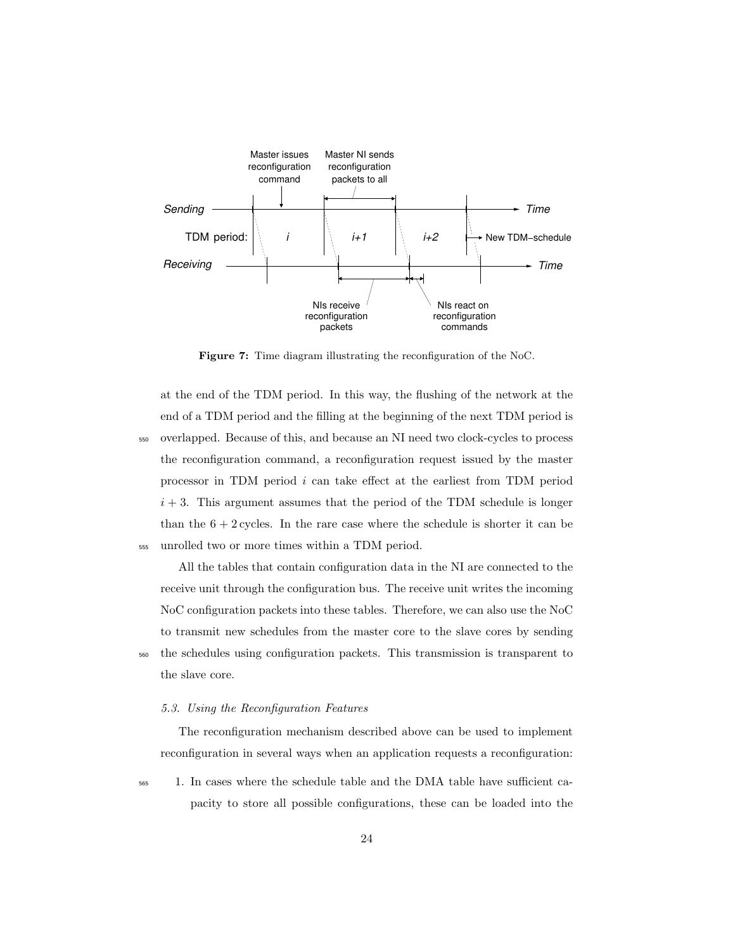<span id="page-23-0"></span>

Figure 7: Time diagram illustrating the reconfiguration of the NoC.

at the end of the TDM period. In this way, the flushing of the network at the end of a TDM period and the filling at the beginning of the next TDM period is <sup>550</sup> overlapped. Because of this, and because an NI need two clock-cycles to process the reconfiguration command, a reconfiguration request issued by the master processor in TDM period i can take effect at the earliest from TDM period  $i + 3$ . This argument assumes that the period of the TDM schedule is longer than the  $6 + 2$  cycles. In the rare case where the schedule is shorter it can be <sup>555</sup> unrolled two or more times within a TDM period.

All the tables that contain configuration data in the NI are connected to the receive unit through the configuration bus. The receive unit writes the incoming NoC configuration packets into these tables. Therefore, we can also use the NoC to transmit new schedules from the master core to the slave cores by sending <sup>560</sup> the schedules using configuration packets. This transmission is transparent to the slave core.

# 5.3. Using the Reconfiguration Features

The reconfiguration mechanism described above can be used to implement reconfiguration in several ways when an application requests a reconfiguration:

<sup>565</sup> 1. In cases where the schedule table and the DMA table have sufficient capacity to store all possible configurations, these can be loaded into the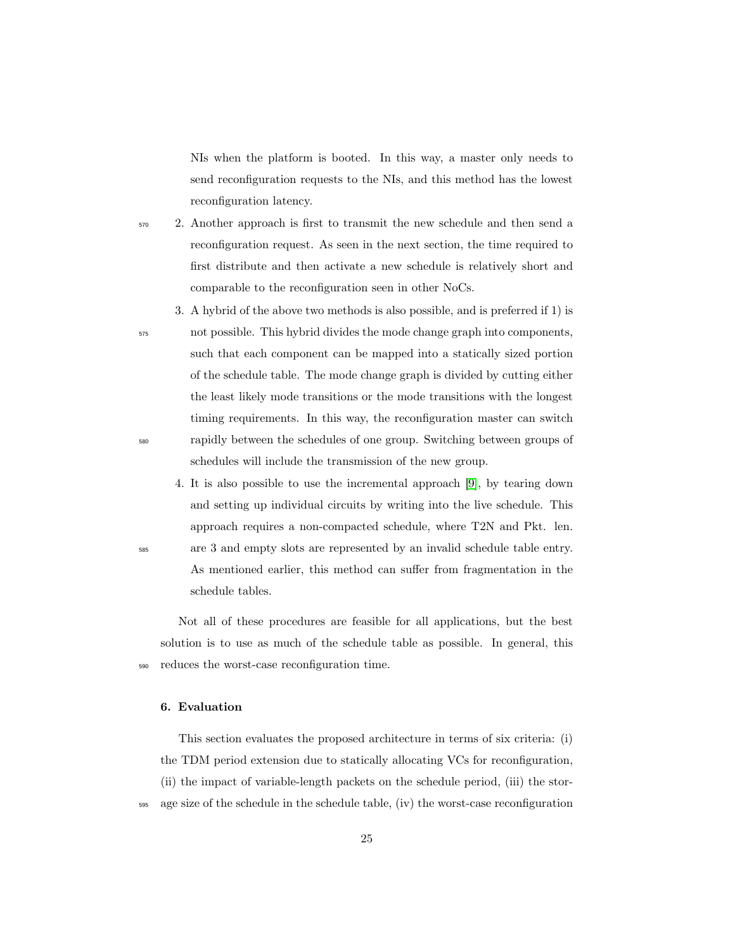NIs when the platform is booted. In this way, a master only needs to send reconfiguration requests to the NIs, and this method has the lowest reconfiguration latency.

- <sup>570</sup> 2. Another approach is first to transmit the new schedule and then send a reconfiguration request. As seen in the next section, the time required to first distribute and then activate a new schedule is relatively short and comparable to the reconfiguration seen in other NoCs.
- 3. A hybrid of the above two methods is also possible, and is preferred if 1) is <sup>575</sup> not possible. This hybrid divides the mode change graph into components, such that each component can be mapped into a statically sized portion of the schedule table. The mode change graph is divided by cutting either the least likely mode transitions or the mode transitions with the longest timing requirements. In this way, the reconfiguration master can switch <sup>580</sup> rapidly between the schedules of one group. Switching between groups of schedules will include the transmission of the new group.
- 4. It is also possible to use the incremental approach [\[9\]](#page-37-5), by tearing down and setting up individual circuits by writing into the live schedule. This approach requires a non-compacted schedule, where T2N and Pkt. len. <sup>585</sup> are 3 and empty slots are represented by an invalid schedule table entry. As mentioned earlier, this method can suffer from fragmentation in the schedule tables.

Not all of these procedures are feasible for all applications, but the best solution is to use as much of the schedule table as possible. In general, this <sup>590</sup> reduces the worst-case reconfiguration time.

# <span id="page-24-0"></span>6. Evaluation

This section evaluates the proposed architecture in terms of six criteria: (i) the TDM period extension due to statically allocating VCs for reconfiguration, (ii) the impact of variable-length packets on the schedule period, (iii) the stor-<sup>595</sup> age size of the schedule in the schedule table, (iv) the worst-case reconfiguration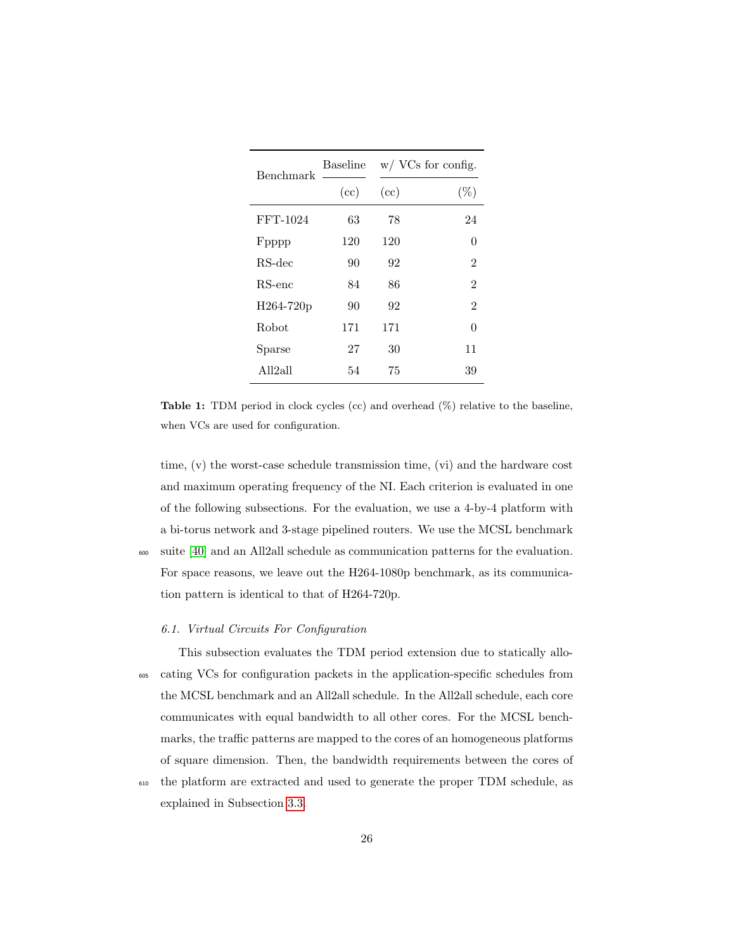<span id="page-25-0"></span>

| Benchmark | Baseline | $w / VCs$ for config. |                |  |
|-----------|----------|-----------------------|----------------|--|
|           | (cc)     | (cc)                  | $(\%)$         |  |
| FFT-1024  | 63       | 78                    | 24             |  |
| Fpppp     | 120      | 120                   | 0              |  |
| RS-dec    | 90       | 92                    | 2              |  |
| $RS$ -enc | 84       | 86                    | $\mathfrak{D}$ |  |
| H264-720p | 90       | 92                    | $\overline{2}$ |  |
| Robot     | 171      | 171                   | 0              |  |
| Sparse    | 27       | 30                    | 11             |  |
| All2all   | 54       | 75                    | 39             |  |

Table 1: TDM period in clock cycles (cc) and overhead (%) relative to the baseline, when VCs are used for configuration.

time, (v) the worst-case schedule transmission time, (vi) and the hardware cost and maximum operating frequency of the NI. Each criterion is evaluated in one of the following subsections. For the evaluation, we use a 4-by-4 platform with a bi-torus network and 3-stage pipelined routers. We use the MCSL benchmark <sup>600</sup> suite [\[40\]](#page-41-6) and an All2all schedule as communication patterns for the evaluation. For space reasons, we leave out the H264-1080p benchmark, as its communica-

# 6.1. Virtual Circuits For Configuration

tion pattern is identical to that of H264-720p.

This subsection evaluates the TDM period extension due to statically allo-<sup>605</sup> cating VCs for configuration packets in the application-specific schedules from the MCSL benchmark and an All2all schedule. In the All2all schedule, each core communicates with equal bandwidth to all other cores. For the MCSL benchmarks, the traffic patterns are mapped to the cores of an homogeneous platforms of square dimension. Then, the bandwidth requirements between the cores of

<sup>610</sup> the platform are extracted and used to generate the proper TDM schedule, as explained in Subsection [3.3.](#page-7-1)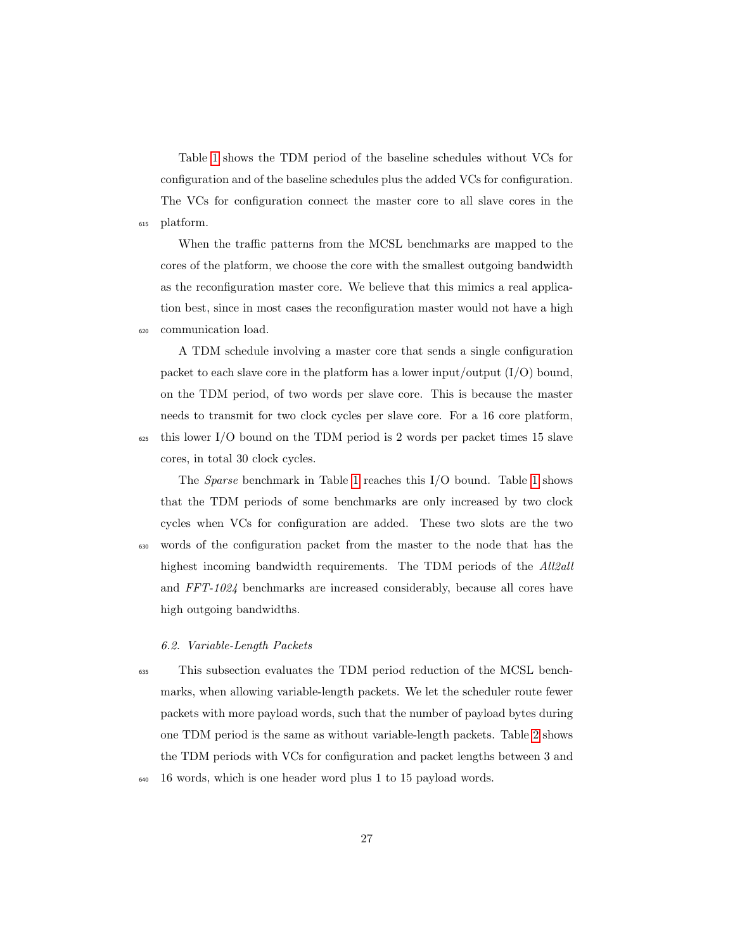Table [1](#page-25-0) shows the TDM period of the baseline schedules without VCs for configuration and of the baseline schedules plus the added VCs for configuration. The VCs for configuration connect the master core to all slave cores in the <sup>615</sup> platform.

When the traffic patterns from the MCSL benchmarks are mapped to the cores of the platform, we choose the core with the smallest outgoing bandwidth as the reconfiguration master core. We believe that this mimics a real application best, since in most cases the reconfiguration master would not have a high <sup>620</sup> communication load.

A TDM schedule involving a master core that sends a single configuration packet to each slave core in the platform has a lower input/output  $(I/O)$  bound, on the TDM period, of two words per slave core. This is because the master needs to transmit for two clock cycles per slave core. For a 16 core platform,  $625$  this lower I/O bound on the TDM period is 2 words per packet times 15 slave cores, in total 30 clock cycles.

The Sparse benchmark in Table [1](#page-25-0) reaches this I/O bound. Table [1](#page-25-0) shows that the TDM periods of some benchmarks are only increased by two clock cycles when VCs for configuration are added. These two slots are the two <sup>630</sup> words of the configuration packet from the master to the node that has the highest incoming bandwidth requirements. The TDM periods of the *All2all* and FFT-1024 benchmarks are increased considerably, because all cores have high outgoing bandwidths.

## 6.2. Variable-Length Packets

<sup>635</sup> This subsection evaluates the TDM period reduction of the MCSL benchmarks, when allowing variable-length packets. We let the scheduler route fewer packets with more payload words, such that the number of payload bytes during one TDM period is the same as without variable-length packets. Table [2](#page-27-0) shows the TDM periods with VCs for configuration and packet lengths between 3 and <sup>640</sup> 16 words, which is one header word plus 1 to 15 payload words.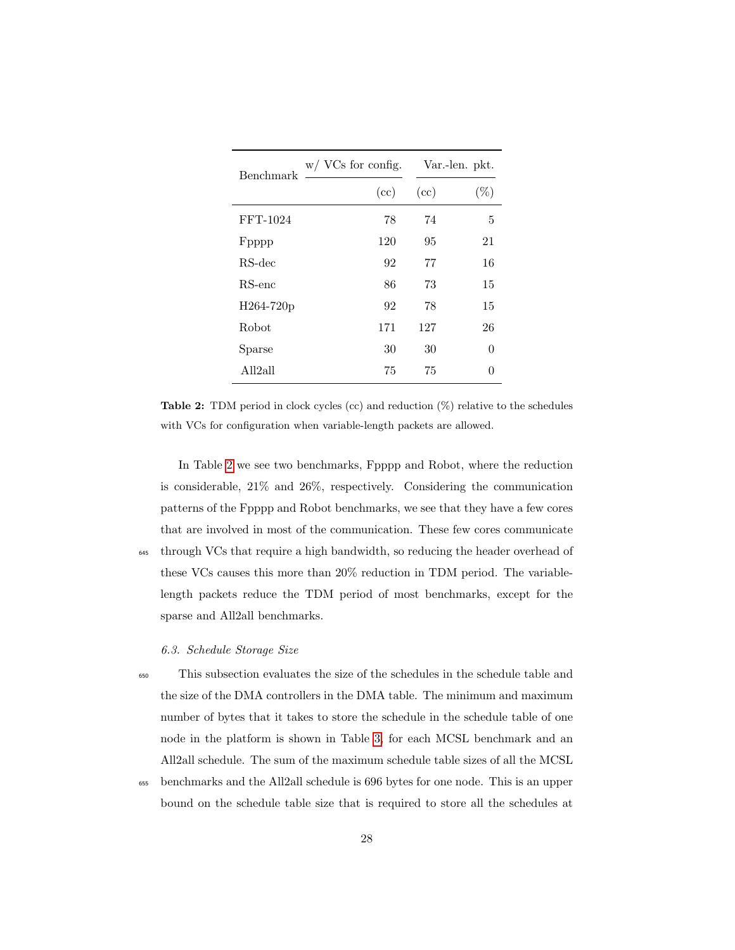<span id="page-27-0"></span>

| Benchmark             | $w / VCs$ for config. |      | Var.-len. pkt. |  |  |
|-----------------------|-----------------------|------|----------------|--|--|
|                       | (cc)                  | (cc) | $(\%)$         |  |  |
| FFT-1024              | 78                    | 74   | 5              |  |  |
| Fpppp                 | 120                   | 95   | 21             |  |  |
| RS-dec                | 92                    | 77   | 16             |  |  |
| $RS$ -enc             | 86                    | 73   | 15             |  |  |
| H264-720 <sub>p</sub> | 92                    | 78   | 15             |  |  |
| Robot                 | 171                   | 127  | 26             |  |  |
| Sparse                | 30                    | 30   | 0              |  |  |
| All2all               | 75                    | 75   | $\Omega$       |  |  |

Table 2: TDM period in clock cycles (cc) and reduction (%) relative to the schedules with VCs for configuration when variable-length packets are allowed.

In Table [2](#page-27-0) we see two benchmarks, Fpppp and Robot, where the reduction is considerable, 21% and 26%, respectively. Considering the communication patterns of the Fpppp and Robot benchmarks, we see that they have a few cores that are involved in most of the communication. These few cores communicate <sup>645</sup> through VCs that require a high bandwidth, so reducing the header overhead of these VCs causes this more than 20% reduction in TDM period. The variablelength packets reduce the TDM period of most benchmarks, except for the sparse and All2all benchmarks.

# <span id="page-27-1"></span>6.3. Schedule Storage Size

<sup>650</sup> This subsection evaluates the size of the schedules in the schedule table and the size of the DMA controllers in the DMA table. The minimum and maximum number of bytes that it takes to store the schedule in the schedule table of one node in the platform is shown in Table [3,](#page-28-0) for each MCSL benchmark and an All2all schedule. The sum of the maximum schedule table sizes of all the MCSL

<sup>655</sup> benchmarks and the All2all schedule is 696 bytes for one node. This is an upper bound on the schedule table size that is required to store all the schedules at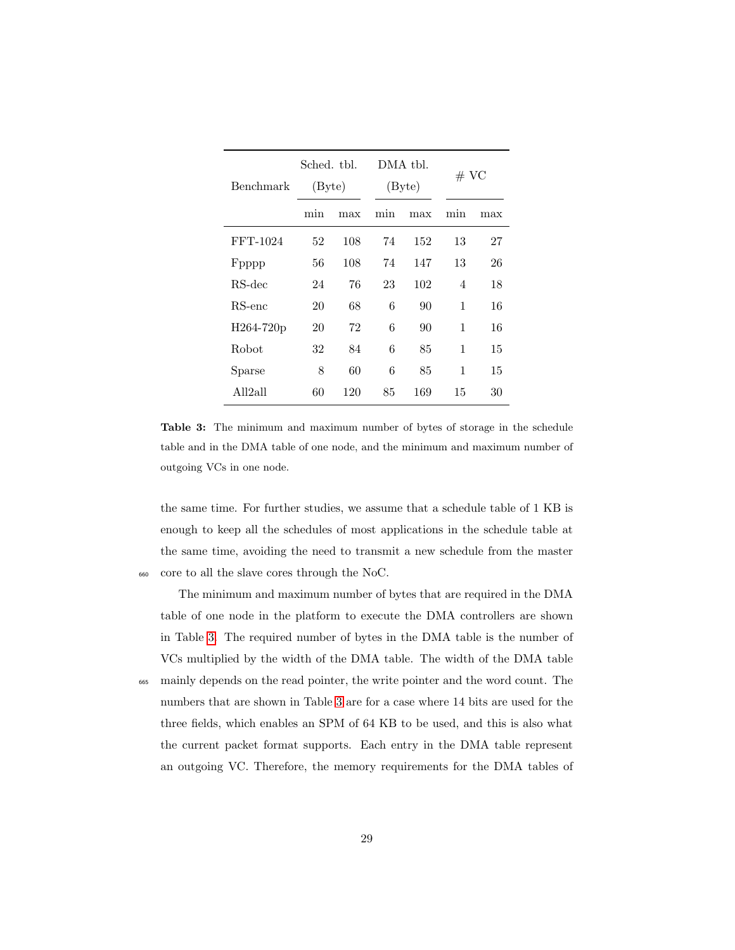<span id="page-28-0"></span>

| Benchmark | Sched. tbl.<br>(Byte) |     |     | DMA tbl.<br>(Byte) |     | # VC |  |
|-----------|-----------------------|-----|-----|--------------------|-----|------|--|
|           | min                   | max | min | max                | min | max  |  |
| FFT-1024  | 52                    | 108 | 74  | 152                | 13  | 27   |  |
| Fpppp     | 56                    | 108 | 74  | 147                | 13  | 26   |  |
| RS-dec    | 24                    | 76  | 23  | 102                | 4   | 18   |  |
| $RS$ -enc | 20                    | 68  | 6   | 90                 | 1   | 16   |  |
| H264-720p | 20                    | 72  | 6   | 90                 | 1   | 16   |  |
| Robot     | 32                    | 84  | 6   | 85                 | 1   | 15   |  |
| Sparse    | 8                     | 60  | 6   | 85                 | 1   | 15   |  |
| All2all   | 60                    | 120 | 85  | 169                | 15  | 30   |  |

Table 3: The minimum and maximum number of bytes of storage in the schedule table and in the DMA table of one node, and the minimum and maximum number of outgoing VCs in one node.

the same time. For further studies, we assume that a schedule table of 1 KB is enough to keep all the schedules of most applications in the schedule table at the same time, avoiding the need to transmit a new schedule from the master <sup>660</sup> core to all the slave cores through the NoC.

The minimum and maximum number of bytes that are required in the DMA table of one node in the platform to execute the DMA controllers are shown in Table [3.](#page-28-0) The required number of bytes in the DMA table is the number of VCs multiplied by the width of the DMA table. The width of the DMA table <sup>665</sup> mainly depends on the read pointer, the write pointer and the word count. The numbers that are shown in Table [3](#page-28-0) are for a case where 14 bits are used for the three fields, which enables an SPM of 64 KB to be used, and this is also what the current packet format supports. Each entry in the DMA table represent an outgoing VC. Therefore, the memory requirements for the DMA tables of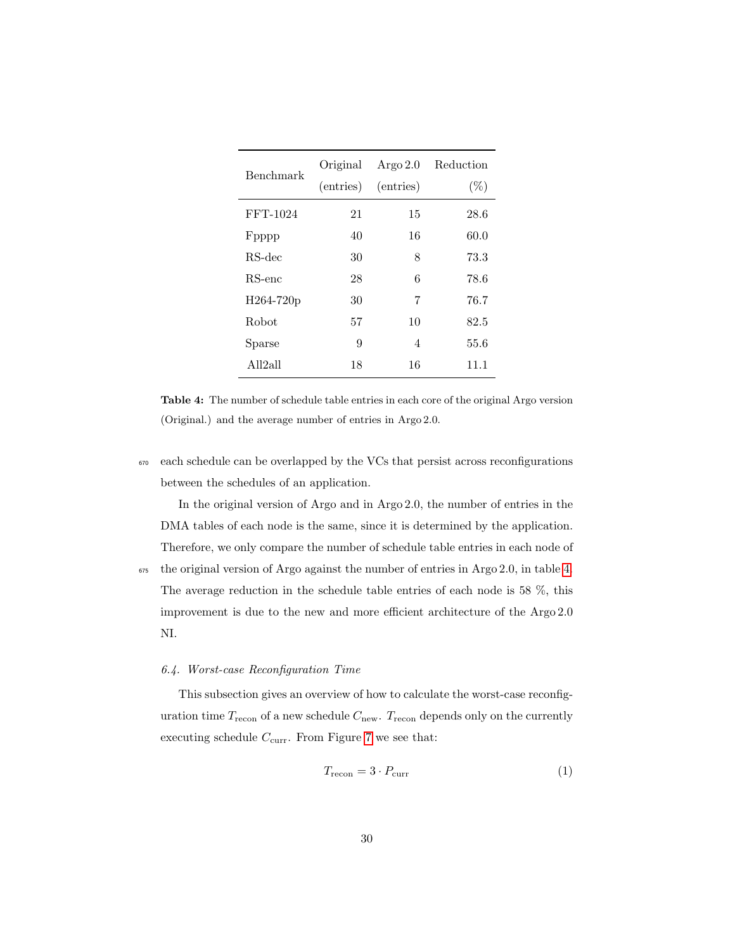<span id="page-29-0"></span>

| Benchmark | Original<br>(entries) | Argo $2.0$<br>(entries) | Reduction<br>$(\%)$ |
|-----------|-----------------------|-------------------------|---------------------|
| FFT-1024  | 21                    | 15                      | 28.6                |
| Fpppp     | 40                    | 16                      | 60.0                |
| RS-dec    | 30                    | 8                       | 73.3                |
| $RS$ -enc | 28                    | 6                       | 78.6                |
| H264-720p | 30                    | 7                       | 76.7                |
| Robot     | 57                    | 10                      | 82.5                |
| Sparse    | 9                     | 4                       | 55.6                |
| All2all   | 18                    | 16                      | 11.1                |

Table 4: The number of schedule table entries in each core of the original Argo version (Original.) and the average number of entries in Argo 2.0.

<sup>670</sup> each schedule can be overlapped by the VCs that persist across reconfigurations between the schedules of an application.

In the original version of Argo and in Argo 2.0, the number of entries in the DMA tables of each node is the same, since it is determined by the application. Therefore, we only compare the number of schedule table entries in each node of

 $675$  the original version of Argo against the number of entries in Argo 2.0, in table [4.](#page-29-0) The average reduction in the schedule table entries of each node is 58 %, this improvement is due to the new and more efficient architecture of the Argo 2.0 NI.

#### 6.4. Worst-case Reconfiguration Time

This subsection gives an overview of how to calculate the worst-case reconfiguration time  $T_{\text{recon}}$  of a new schedule  $C_{\text{new}}$ .  $T_{\text{recon}}$  depends only on the currently executing schedule  $C_{\text{curr}}$ . From Figure [7](#page-23-0) we see that:

$$
T_{\text{recon}} = 3 \cdot P_{\text{curr}} \tag{1}
$$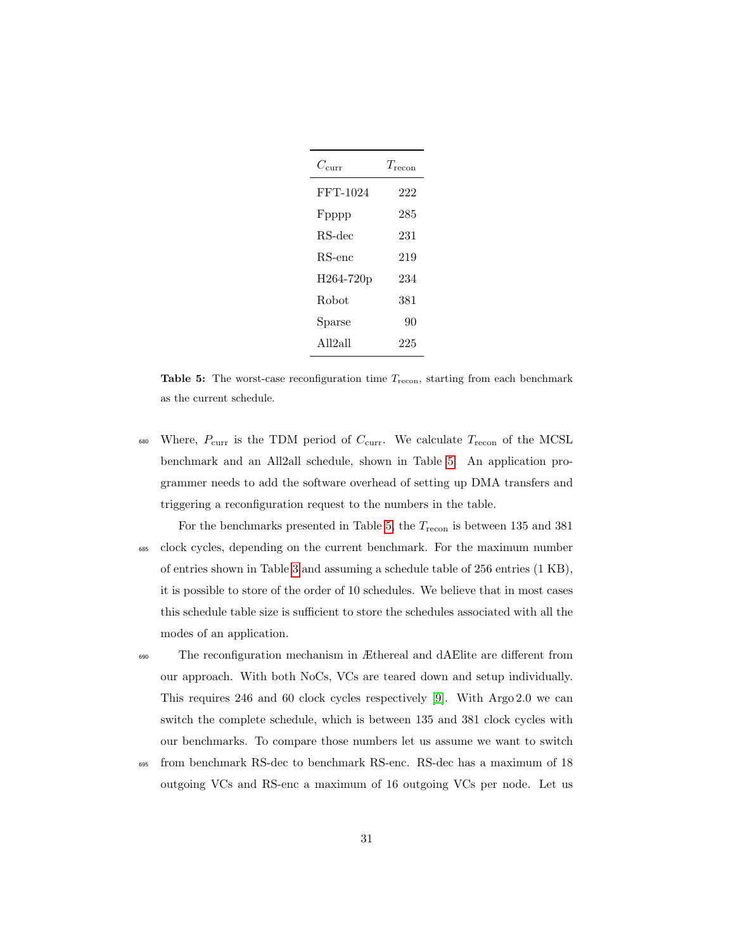<span id="page-30-0"></span>

| $C_{\rm curr}$ | $T_{\rm reco}$ |
|----------------|----------------|
| FFT-1024       | 222            |
| Fpppp          | 285            |
| $RS-dec$       | 231            |
| $RS$ -enc      | 219            |
| H264-720p      | 234            |
| Robot          | 381            |
| Sparse         | 90             |
| All2all        | 225            |

**Table 5:** The worst-case reconfiguration time  $T_{\text{recon}}$ , starting from each benchmark as the current schedule.

- 680 Where,  $P_{\text{curr}}$  is the TDM period of  $C_{\text{curr}}$ . We calculate  $T_{\text{recon}}$  of the MCSL benchmark and an All2all schedule, shown in Table [5.](#page-30-0) An application programmer needs to add the software overhead of setting up DMA transfers and triggering a reconfiguration request to the numbers in the table.
- For the benchmarks presented in Table [5,](#page-30-0) the  $T_{\text{recon}}$  is between 135 and 381 <sup>685</sup> clock cycles, depending on the current benchmark. For the maximum number of entries shown in Table [3](#page-28-0) and assuming a schedule table of 256 entries (1 KB), it is possible to store of the order of 10 schedules. We believe that in most cases this schedule table size is sufficient to store the schedules associated with all the modes of an application.
- <sup>690</sup> The reconfiguration mechanism in Æthereal and dAElite are different from our approach. With both NoCs, VCs are teared down and setup individually. This requires 246 and 60 clock cycles respectively [\[9\]](#page-37-5). With Argo 2.0 we can switch the complete schedule, which is between 135 and 381 clock cycles with our benchmarks. To compare those numbers let us assume we want to switch
- <sup>695</sup> from benchmark RS-dec to benchmark RS-enc. RS-dec has a maximum of 18 outgoing VCs and RS-enc a maximum of 16 outgoing VCs per node. Let us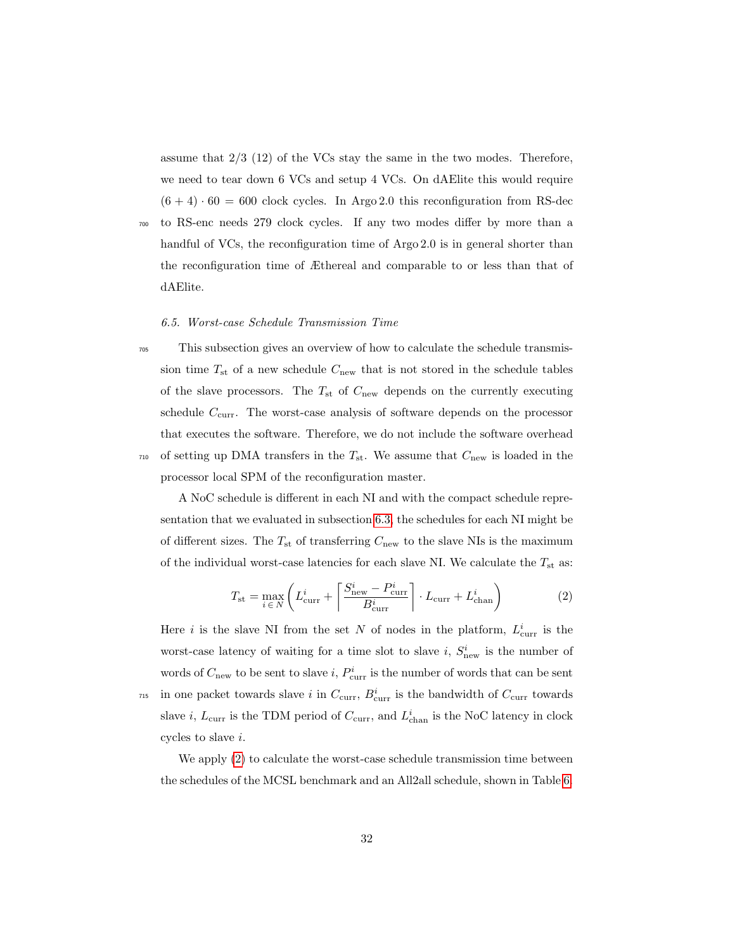assume that 2/3 (12) of the VCs stay the same in the two modes. Therefore, we need to tear down 6 VCs and setup 4 VCs. On dAElite this would require  $(6 + 4) \cdot 60 = 600$  clock cycles. In Argo 2.0 this reconfiguration from RS-dec

<sup>700</sup> to RS-enc needs 279 clock cycles. If any two modes differ by more than a handful of VCs, the reconfiguration time of Argo 2.0 is in general shorter than the reconfiguration time of Æthereal and comparable to or less than that of dAElite.

# 6.5. Worst-case Schedule Transmission Time

<sup>705</sup> This subsection gives an overview of how to calculate the schedule transmission time  $T_{\text{st}}$  of a new schedule  $C_{\text{new}}$  that is not stored in the schedule tables of the slave processors. The  $T_{\text{st}}$  of  $C_{\text{new}}$  depends on the currently executing schedule  $C_{\text{curr}}$ . The worst-case analysis of software depends on the processor that executes the software. Therefore, we do not include the software overhead  $_{710}$  of setting up DMA transfers in the  $T_{\text{st}}$ . We assume that  $C_{\text{new}}$  is loaded in the processor local SPM of the reconfiguration master.

A NoC schedule is different in each NI and with the compact schedule representation that we evaluated in subsection [6.3,](#page-27-1) the schedules for each NI might be of different sizes. The  $T_{\text{st}}$  of transferring  $C_{\text{new}}$  to the slave NIs is the maximum of the individual worst-case latencies for each slave NI. We calculate the  $T_{\rm st}$  as:

<span id="page-31-0"></span>
$$
T_{\rm st} = \max_{i \in N} \left( L_{\rm curr}^i + \left\lceil \frac{S_{\rm new}^i - P_{\rm curr}^i}{B_{\rm curr}^i} \right\rceil \cdot L_{\rm curr} + L_{\rm chan}^i \right) \tag{2}
$$

Here *i* is the slave NI from the set N of nodes in the platform,  $L^i_{\text{curr}}$  is the worst-case latency of waiting for a time slot to slave  $i, S^i_{\text{new}}$  is the number of words of  $C_{\text{new}}$  to be sent to slave  $i, P_{\text{curr}}^i$  is the number of words that can be sent <sup>715</sup> in one packet towards slave i in  $C_{\text{curr}}$ ,  $B_{\text{curr}}^i$  is the bandwidth of  $C_{\text{curr}}$  towards slave *i*,  $L_{\text{curr}}$  is the TDM period of  $C_{\text{curr}}$ , and  $L_{\text{chan}}^i$  is the NoC latency in clock cycles to slave i.

We apply [\(2\)](#page-31-0) to calculate the worst-case schedule transmission time between the schedules of the MCSL benchmark and an All2all schedule, shown in Table [6.](#page-32-0)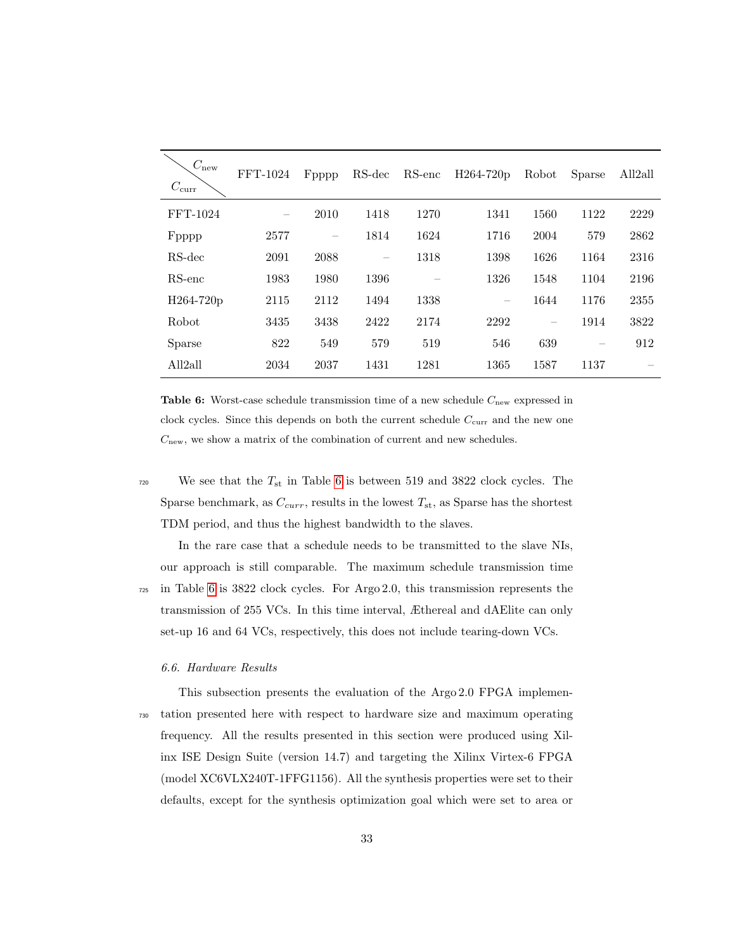<span id="page-32-0"></span>

| $C_{\rm new}$<br>$C_{\rm curr}$ | FFT-1024 | Fpppp | RS-dec | RS-enc | H264-720p | Robot | Sparse | All <sub>2all</sub> |
|---------------------------------|----------|-------|--------|--------|-----------|-------|--------|---------------------|
| FFT-1024                        |          | 2010  | 1418   | 1270   | 1341      | 1560  | 1122   | 2229                |
| Fpppp                           | 2577     |       | 1814   | 1624   | 1716      | 2004  | 579    | 2862                |
| RS-dec                          | 2091     | 2088  |        | 1318   | 1398      | 1626  | 1164   | 2316                |
| $RS$ -enc                       | 1983     | 1980  | 1396   |        | 1326      | 1548  | 1104   | 2196                |
| H264-720p                       | 2115     | 2112  | 1494   | 1338   |           | 1644  | 1176   | 2355                |
| Robot                           | 3435     | 3438  | 2422   | 2174   | 2292      | -     | 1914   | 3822                |
| Sparse                          | 822      | 549   | 579    | 519    | 546       | 639   | -      | 912                 |
| All <sub>2all</sub>             | 2034     | 2037  | 1431   | 1281   | 1365      | 1587  | 1137   |                     |

Table 6: Worst-case schedule transmission time of a new schedule  $C_{\text{new}}$  expressed in clock cycles. Since this depends on both the current schedule  $C_{\text{curr}}$  and the new one  $C<sub>new</sub>$ , we show a matrix of the combination of current and new schedules.

<sup>720</sup> We see that the  $T_{st}$  in Table [6](#page-32-0) is between 519 and 3822 clock cycles. The Sparse benchmark, as  $C_{curr}$ , results in the lowest  $T_{st}$ , as Sparse has the shortest TDM period, and thus the highest bandwidth to the slaves.

In the rare case that a schedule needs to be transmitted to the slave NIs, our approach is still comparable. The maximum schedule transmission time <sup>725</sup> in Table [6](#page-32-0) is 3822 clock cycles. For Argo 2.0, this transmission represents the transmission of 255 VCs. In this time interval, Æthereal and dAElite can only set-up 16 and 64 VCs, respectively, this does not include tearing-down VCs.

#### 6.6. Hardware Results

This subsection presents the evaluation of the Argo 2.0 FPGA implemen-<sup>730</sup> tation presented here with respect to hardware size and maximum operating frequency. All the results presented in this section were produced using Xilinx ISE Design Suite (version 14.7) and targeting the Xilinx Virtex-6 FPGA (model XC6VLX240T-1FFG1156). All the synthesis properties were set to their defaults, except for the synthesis optimization goal which were set to area or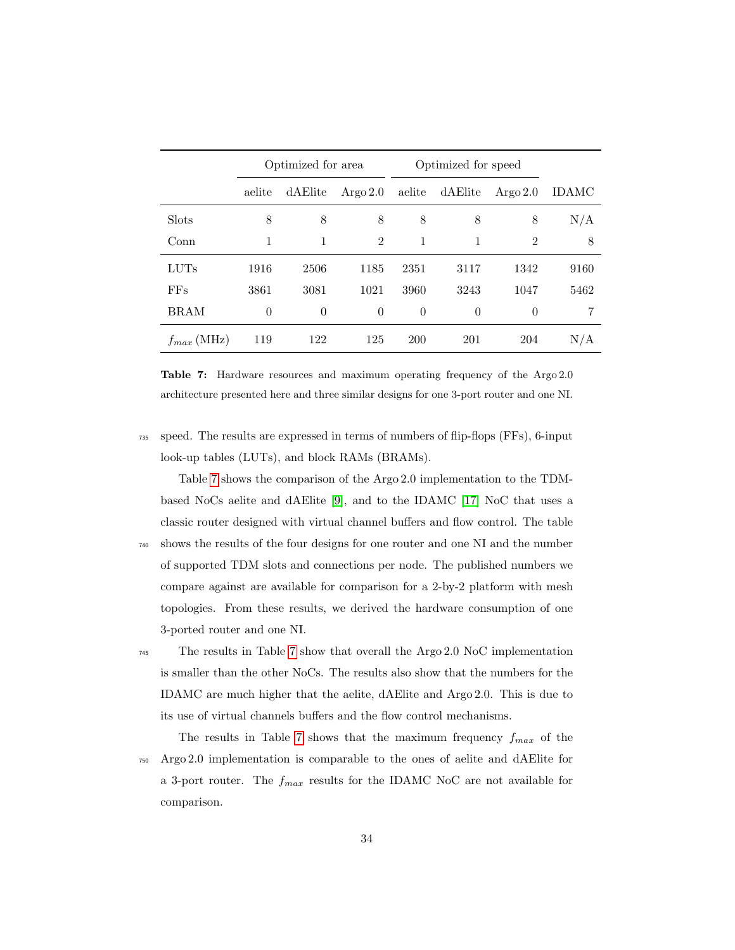<span id="page-33-0"></span>

|                 | Optimized for area |          |                | Optimized for speed |          |                |       |
|-----------------|--------------------|----------|----------------|---------------------|----------|----------------|-------|
|                 | aelite             | dAElite  | Argo $2.0$     | aelite              | dAElite  | Argo $2.0$     | IDAMC |
| <b>Slots</b>    | 8                  | 8        | 8              | 8                   | 8        | 8              | N/A   |
| Conn            | 1                  | 1        | $\overline{2}$ | 1                   | 1        | $\overline{2}$ | 8     |
| <b>LUTs</b>     | 1916               | 2506     | 1185           | 2351                | 3117     | 1342           | 9160  |
| FFs             | 3861               | 3081     | 1021           | 3960                | 3243     | 1047           | 5462  |
| <b>BRAM</b>     | $\theta$           | $\theta$ | $\overline{0}$ | $\theta$            | $\Omega$ | $\theta$       |       |
| $f_{max}$ (MHz) | 119                | 122      | 125            | <b>200</b>          | 201      | 204            | N/A   |

Table 7: Hardware resources and maximum operating frequency of the Argo 2.0 architecture presented here and three similar designs for one 3-port router and one NI.

<sup>735</sup> speed. The results are expressed in terms of numbers of flip-flops (FFs), 6-input look-up tables (LUTs), and block RAMs (BRAMs).

Table [7](#page-33-0) shows the comparison of the Argo 2.0 implementation to the TDMbased NoCs aelite and dAElite [\[9\]](#page-37-5), and to the IDAMC [\[17\]](#page-38-6) NoC that uses a classic router designed with virtual channel buffers and flow control. The table <sup>740</sup> shows the results of the four designs for one router and one NI and the number of supported TDM slots and connections per node. The published numbers we compare against are available for comparison for a 2-by-2 platform with mesh topologies. From these results, we derived the hardware consumption of one 3-ported router and one NI.

<sup>745</sup> The results in Table [7](#page-33-0) show that overall the Argo 2.0 NoC implementation is smaller than the other NoCs. The results also show that the numbers for the IDAMC are much higher that the aelite, dAElite and Argo 2.0. This is due to its use of virtual channels buffers and the flow control mechanisms.

The results in Table [7](#page-33-0) shows that the maximum frequency  $f_{max}$  of the <sup>750</sup> Argo 2.0 implementation is comparable to the ones of aelite and dAElite for a 3-port router. The  $f_{max}$  results for the IDAMC NoC are not available for comparison.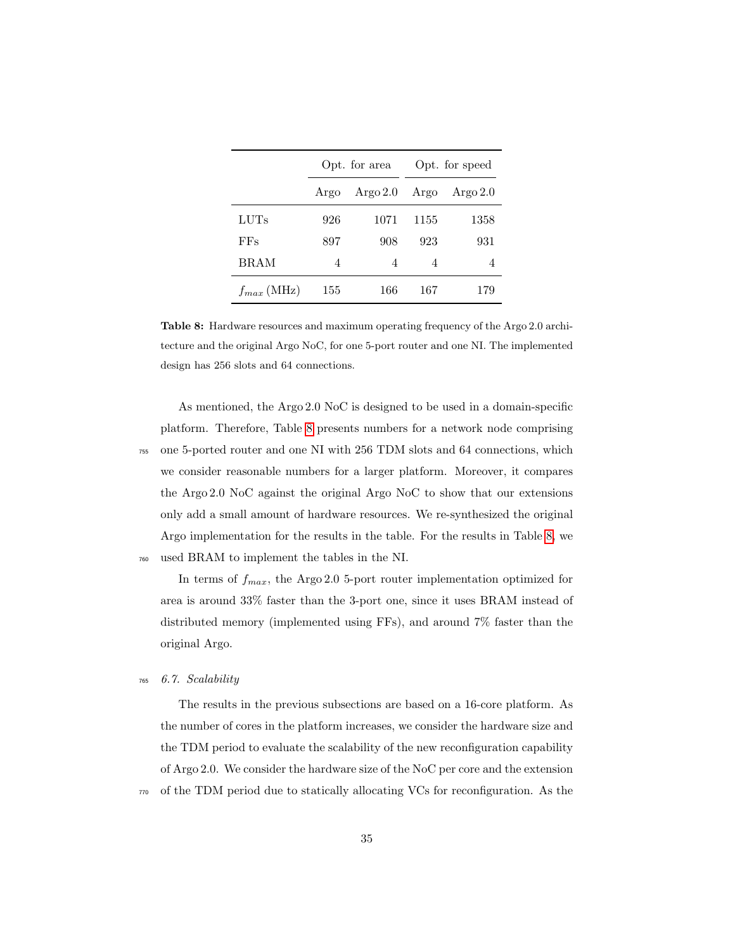<span id="page-34-0"></span>

|                 |      | Opt. for area |      | Opt. for speed |
|-----------------|------|---------------|------|----------------|
|                 | Argo | Argo $2.0$    | Argo | Argo $2.0$     |
| LUTs            | 926  | 1071          | 1155 | 1358           |
| FFs             | 897  | 908           | 923  | 931            |
| BRAM            | 4    | 4             | 4    | 4              |
| $f_{max}$ (MHz) | 155  | 166           | 167  | 179            |

Table 8: Hardware resources and maximum operating frequency of the Argo 2.0 architecture and the original Argo NoC, for one 5-port router and one NI. The implemented design has 256 slots and 64 connections.

As mentioned, the Argo 2.0 NoC is designed to be used in a domain-specific platform. Therefore, Table [8](#page-34-0) presents numbers for a network node comprising <sup>755</sup> one 5-ported router and one NI with 256 TDM slots and 64 connections, which we consider reasonable numbers for a larger platform. Moreover, it compares the Argo 2.0 NoC against the original Argo NoC to show that our extensions only add a small amount of hardware resources. We re-synthesized the original Argo implementation for the results in the table. For the results in Table [8,](#page-34-0) we <sup>760</sup> used BRAM to implement the tables in the NI.

In terms of  $f_{max}$ , the Argo 2.0 5-port router implementation optimized for area is around 33% faster than the 3-port one, since it uses BRAM instead of distributed memory (implemented using FFs), and around 7% faster than the original Argo.

# <sup>765</sup> 6.7. Scalability

The results in the previous subsections are based on a 16-core platform. As the number of cores in the platform increases, we consider the hardware size and the TDM period to evaluate the scalability of the new reconfiguration capability of Argo 2.0. We consider the hardware size of the NoC per core and the extension <sup>770</sup> of the TDM period due to statically allocating VCs for reconfiguration. As the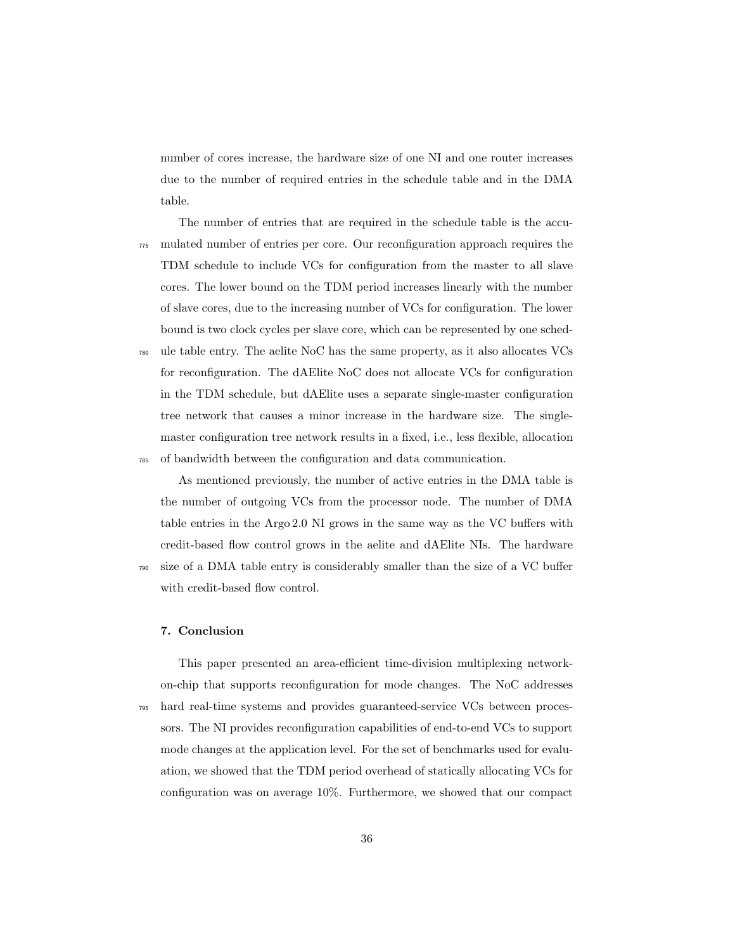number of cores increase, the hardware size of one NI and one router increases due to the number of required entries in the schedule table and in the DMA table.

The number of entries that are required in the schedule table is the accu-<sup>775</sup> mulated number of entries per core. Our reconfiguration approach requires the TDM schedule to include VCs for configuration from the master to all slave cores. The lower bound on the TDM period increases linearly with the number of slave cores, due to the increasing number of VCs for configuration. The lower bound is two clock cycles per slave core, which can be represented by one sched-<sup>780</sup> ule table entry. The aelite NoC has the same property, as it also allocates VCs for reconfiguration. The dAElite NoC does not allocate VCs for configuration in the TDM schedule, but dAElite uses a separate single-master configuration tree network that causes a minor increase in the hardware size. The single-

master configuration tree network results in a fixed, i.e., less flexible, allocation <sup>785</sup> of bandwidth between the configuration and data communication.

As mentioned previously, the number of active entries in the DMA table is the number of outgoing VCs from the processor node. The number of DMA table entries in the Argo 2.0 NI grows in the same way as the VC buffers with credit-based flow control grows in the aelite and dAElite NIs. The hardware <sup>790</sup> size of a DMA table entry is considerably smaller than the size of a VC buffer with credit-based flow control.

#### <span id="page-35-0"></span>7. Conclusion

This paper presented an area-efficient time-division multiplexing networkon-chip that supports reconfiguration for mode changes. The NoC addresses <sup>795</sup> hard real-time systems and provides guaranteed-service VCs between processors. The NI provides reconfiguration capabilities of end-to-end VCs to support mode changes at the application level. For the set of benchmarks used for evaluation, we showed that the TDM period overhead of statically allocating VCs for configuration was on average 10%. Furthermore, we showed that our compact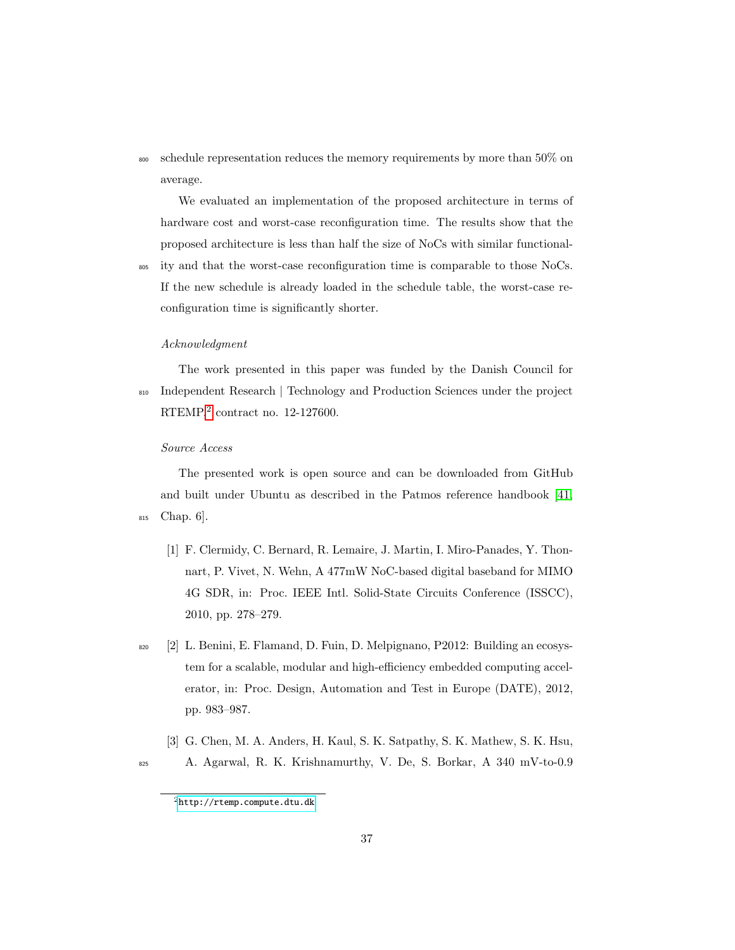<sup>800</sup> schedule representation reduces the memory requirements by more than 50% on average.

We evaluated an implementation of the proposed architecture in terms of hardware cost and worst-case reconfiguration time. The results show that the proposed architecture is less than half the size of NoCs with similar functional-

<sup>805</sup> ity and that the worst-case reconfiguration time is comparable to those NoCs. If the new schedule is already loaded in the schedule table, the worst-case reconfiguration time is significantly shorter.

#### Acknowledgment

The work presented in this paper was funded by the Danish Council for <sup>810</sup> Independent Research | Technology and Production Sciences under the project RTEMP,[2](#page-36-3) contract no. 12-127600.

# Source Access

The presented work is open source and can be downloaded from GitHub and built under Ubuntu as described in the Patmos reference handbook [\[41,](#page-41-7) <sup>815</sup> Chap. 6].

- <span id="page-36-0"></span>[1] F. Clermidy, C. Bernard, R. Lemaire, J. Martin, I. Miro-Panades, Y. Thonnart, P. Vivet, N. Wehn, A 477mW NoC-based digital baseband for MIMO 4G SDR, in: Proc. IEEE Intl. Solid-State Circuits Conference (ISSCC), 2010, pp. 278–279.
- <span id="page-36-1"></span><sup>820</sup> [2] L. Benini, E. Flamand, D. Fuin, D. Melpignano, P2012: Building an ecosystem for a scalable, modular and high-efficiency embedded computing accelerator, in: Proc. Design, Automation and Test in Europe (DATE), 2012, pp. 983–987.
	- [3] G. Chen, M. A. Anders, H. Kaul, S. K. Satpathy, S. K. Mathew, S. K. Hsu,

<span id="page-36-2"></span><sup>825</sup> A. Agarwal, R. K. Krishnamurthy, V. De, S. Borkar, A 340 mV-to-0.9

<span id="page-36-3"></span><sup>2</sup><http://rtemp.compute.dtu.dk>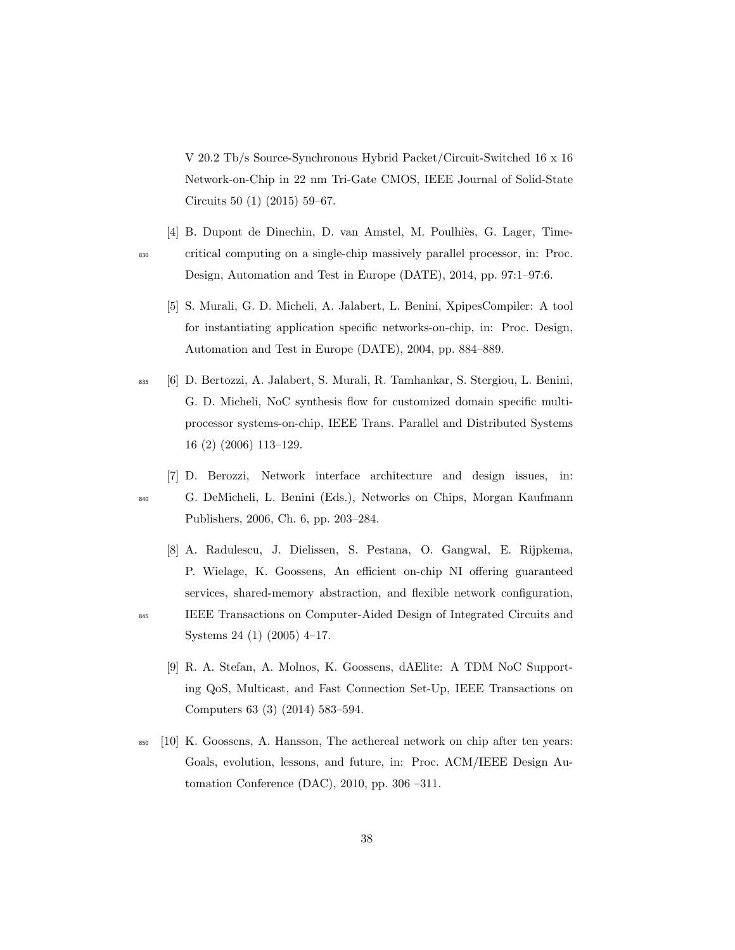V 20.2 Tb/s Source-Synchronous Hybrid Packet/Circuit-Switched 16 x 16 Network-on-Chip in 22 nm Tri-Gate CMOS, IEEE Journal of Solid-State Circuits 50 (1) (2015) 59–67.

- <span id="page-37-1"></span><span id="page-37-0"></span>[4] B. Dupont de Dinechin, D. van Amstel, M. Poulhiès, G. Lager, Time-<sup>830</sup> critical computing on a single-chip massively parallel processor, in: Proc. Design, Automation and Test in Europe (DATE), 2014, pp. 97:1–97:6.
	- [5] S. Murali, G. D. Micheli, A. Jalabert, L. Benini, XpipesCompiler: A tool for instantiating application specific networks-on-chip, in: Proc. Design, Automation and Test in Europe (DATE), 2004, pp. 884–889.
- <span id="page-37-2"></span><sup>835</sup> [6] D. Bertozzi, A. Jalabert, S. Murali, R. Tamhankar, S. Stergiou, L. Benini, G. D. Micheli, NoC synthesis flow for customized domain specific multiprocessor systems-on-chip, IEEE Trans. Parallel and Distributed Systems 16 (2) (2006) 113–129.
	- [7] D. Berozzi, Network interface architecture and design issues, in:
- 

<span id="page-37-3"></span><sup>840</sup> G. DeMicheli, L. Benini (Eds.), Networks on Chips, Morgan Kaufmann Publishers, 2006, Ch. 6, pp. 203–284.

- <span id="page-37-4"></span>[8] A. Radulescu, J. Dielissen, S. Pestana, O. Gangwal, E. Rijpkema, P. Wielage, K. Goossens, An efficient on-chip NI offering guaranteed services, shared-memory abstraction, and flexible network configuration,
- <span id="page-37-5"></span><sup>845</sup> IEEE Transactions on Computer-Aided Design of Integrated Circuits and Systems 24 (1) (2005) 4–17.
	- [9] R. A. Stefan, A. Molnos, K. Goossens, dAElite: A TDM NoC Supporting QoS, Multicast, and Fast Connection Set-Up, IEEE Transactions on Computers 63 (3) (2014) 583–594.
- <span id="page-37-6"></span><sup>850</sup> [10] K. Goossens, A. Hansson, The aethereal network on chip after ten years: Goals, evolution, lessons, and future, in: Proc. ACM/IEEE Design Automation Conference (DAC), 2010, pp. 306 –311.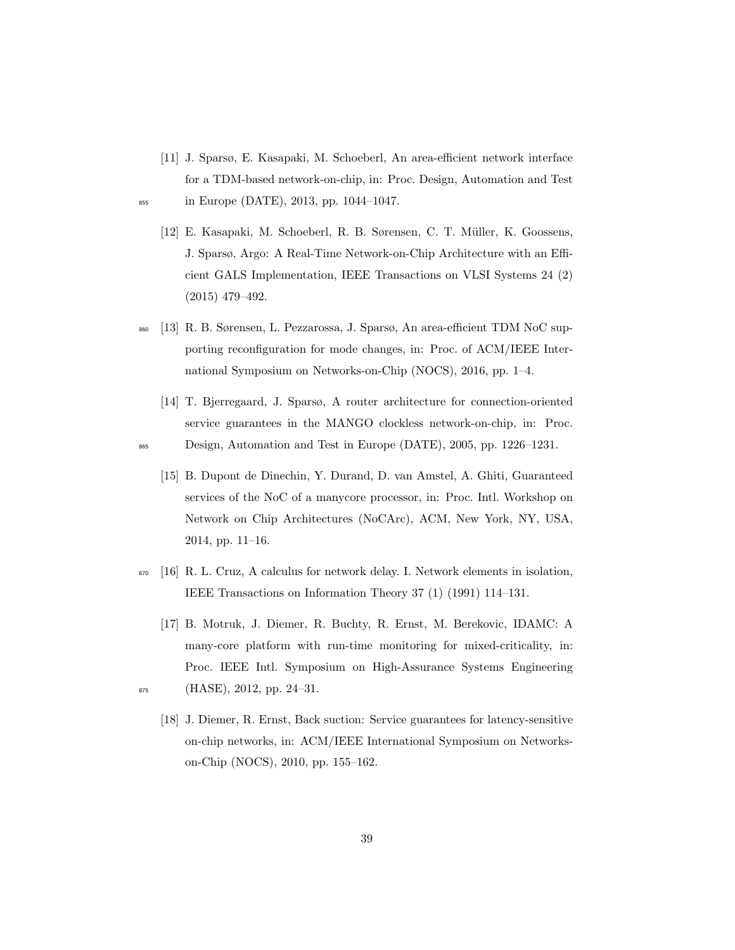- <span id="page-38-1"></span><span id="page-38-0"></span>[11] J. Sparsø, E. Kasapaki, M. Schoeberl, An area-efficient network interface for a TDM-based network-on-chip, in: Proc. Design, Automation and Test <sup>855</sup> in Europe (DATE), 2013, pp. 1044–1047.
	- [12] E. Kasapaki, M. Schoeberl, R. B. Sørensen, C. T. Müller, K. Goossens, J. Sparsø, Argo: A Real-Time Network-on-Chip Architecture with an Efficient GALS Implementation, IEEE Transactions on VLSI Systems 24 (2) (2015) 479–492.
- <span id="page-38-2"></span><sup>860</sup> [13] R. B. Sørensen, L. Pezzarossa, J. Sparsø, An area-efficient TDM NoC supporting reconfiguration for mode changes, in: Proc. of ACM/IEEE International Symposium on Networks-on-Chip (NOCS), 2016, pp. 1–4.
- <span id="page-38-4"></span><span id="page-38-3"></span>[14] T. Bjerregaard, J. Sparsø, A router architecture for connection-oriented service guarantees in the MANGO clockless network-on-chip, in: Proc. <sup>865</sup> Design, Automation and Test in Europe (DATE), 2005, pp. 1226–1231.
	- [15] B. Dupont de Dinechin, Y. Durand, D. van Amstel, A. Ghiti, Guaranteed services of the NoC of a manycore processor, in: Proc. Intl. Workshop on Network on Chip Architectures (NoCArc), ACM, New York, NY, USA, 2014, pp. 11–16.
- <span id="page-38-5"></span><sup>870</sup> [16] R. L. Cruz, A calculus for network delay. I. Network elements in isolation, IEEE Transactions on Information Theory 37 (1) (1991) 114–131.
- <span id="page-38-7"></span><span id="page-38-6"></span>[17] B. Motruk, J. Diemer, R. Buchty, R. Ernst, M. Berekovic, IDAMC: A many-core platform with run-time monitoring for mixed-criticality, in: Proc. IEEE Intl. Symposium on High-Assurance Systems Engineering  $875$  (HASE), 2012, pp. 24–31.
	- [18] J. Diemer, R. Ernst, Back suction: Service guarantees for latency-sensitive on-chip networks, in: ACM/IEEE International Symposium on Networkson-Chip (NOCS), 2010, pp. 155–162.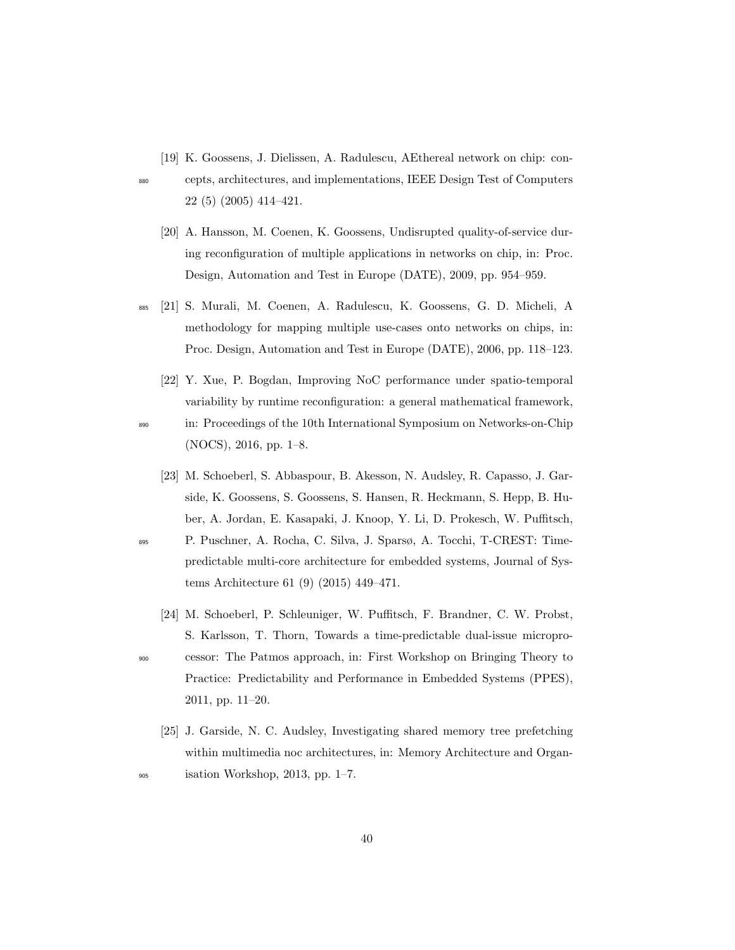<span id="page-39-0"></span>[19] K. Goossens, J. Dielissen, A. Radulescu, AEthereal network on chip: con-

<span id="page-39-1"></span>

- <sup>880</sup> cepts, architectures, and implementations, IEEE Design Test of Computers 22 (5) (2005) 414–421.
	- [20] A. Hansson, M. Coenen, K. Goossens, Undisrupted quality-of-service during reconfiguration of multiple applications in networks on chip, in: Proc. Design, Automation and Test in Europe (DATE), 2009, pp. 954–959.
- <span id="page-39-2"></span><sup>885</sup> [21] S. Murali, M. Coenen, A. Radulescu, K. Goossens, G. D. Micheli, A methodology for mapping multiple use-cases onto networks on chips, in: Proc. Design, Automation and Test in Europe (DATE), 2006, pp. 118–123.
	- [22] Y. Xue, P. Bogdan, Improving NoC performance under spatio-temporal variability by runtime reconfiguration: a general mathematical framework,

- <span id="page-39-3"></span><sup>890</sup> in: Proceedings of the 10th International Symposium on Networks-on-Chip (NOCS), 2016, pp. 1–8.
- <span id="page-39-4"></span>[23] M. Schoeberl, S. Abbaspour, B. Akesson, N. Audsley, R. Capasso, J. Garside, K. Goossens, S. Goossens, S. Hansen, R. Heckmann, S. Hepp, B. Huber, A. Jordan, E. Kasapaki, J. Knoop, Y. Li, D. Prokesch, W. Puffitsch, <sup>895</sup> P. Puschner, A. Rocha, C. Silva, J. Sparsø, A. Tocchi, T-CREST: Time
	- predictable multi-core architecture for embedded systems, Journal of Systems Architecture 61 (9) (2015) 449–471.
	- [24] M. Schoeberl, P. Schleuniger, W. Puffitsch, F. Brandner, C. W. Probst, S. Karlsson, T. Thorn, Towards a time-predictable dual-issue micropro-

- <span id="page-39-5"></span><sup>900</sup> cessor: The Patmos approach, in: First Workshop on Bringing Theory to Practice: Predictability and Performance in Embedded Systems (PPES), 2011, pp. 11–20.
- <span id="page-39-6"></span>[25] J. Garside, N. C. Audsley, Investigating shared memory tree prefetching within multimedia noc architectures, in: Memory Architecture and Organ-<sup>905</sup> isation Workshop, 2013, pp. 1–7.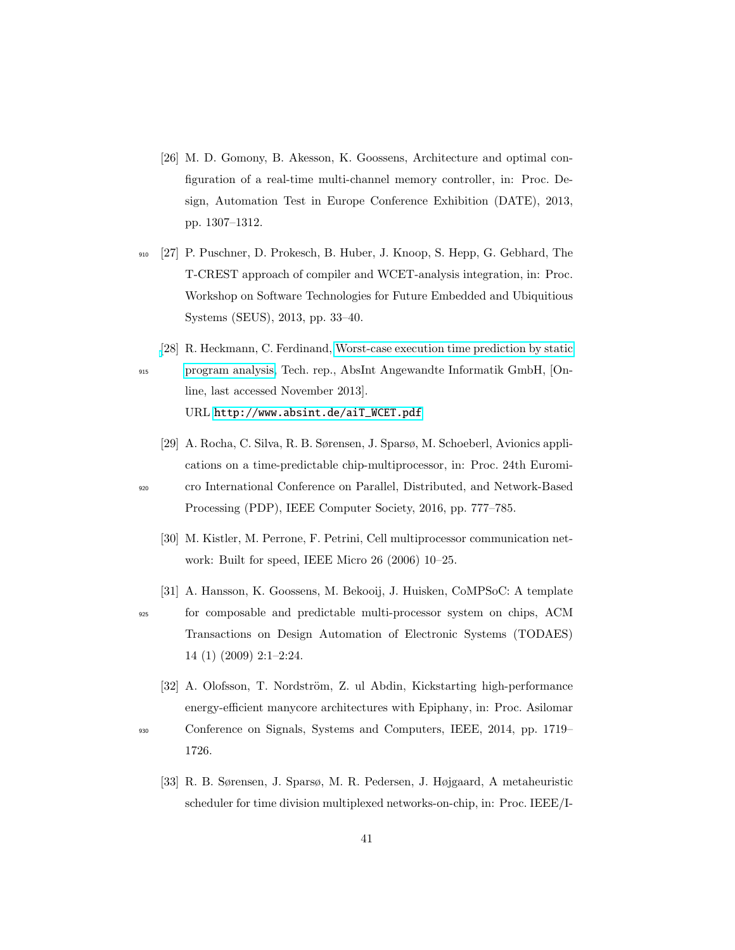- <span id="page-40-0"></span>[26] M. D. Gomony, B. Akesson, K. Goossens, Architecture and optimal configuration of a real-time multi-channel memory controller, in: Proc. Design, Automation Test in Europe Conference Exhibition (DATE), 2013, pp. 1307–1312.
- <span id="page-40-1"></span><sup>910</sup> [27] P. Puschner, D. Prokesch, B. Huber, J. Knoop, S. Hepp, G. Gebhard, The T-CREST approach of compiler and WCET-analysis integration, in: Proc. Workshop on Software Technologies for Future Embedded and Ubiquitious Systems (SEUS), 2013, pp. 33–40.
- <span id="page-40-2"></span>[\[](http://www.absint.de/aiT_WCET.pdf)28] R. Heckmann, C. Ferdinand, [Worst-case execution time prediction by static](http://www.absint.de/aiT_WCET.pdf) <sup>915</sup> [program analysis,](http://www.absint.de/aiT_WCET.pdf) Tech. rep., AbsInt Angewandte Informatik GmbH, [Online, last accessed November 2013].

URL [http://www.absint.de/aiT\\_WCET.pdf](http://www.absint.de/aiT_WCET.pdf)

- <span id="page-40-3"></span>[29] A. Rocha, C. Silva, R. B. Sørensen, J. Sparsø, M. Schoeberl, Avionics applications on a time-predictable chip-multiprocessor, in: Proc. 24th Euromi-
- <span id="page-40-4"></span><sup>920</sup> cro International Conference on Parallel, Distributed, and Network-Based Processing (PDP), IEEE Computer Society, 2016, pp. 777–785.
	- [30] M. Kistler, M. Perrone, F. Petrini, Cell multiprocessor communication network: Built for speed, IEEE Micro 26 (2006) 10–25.
	- [31] A. Hansson, K. Goossens, M. Bekooij, J. Huisken, CoMPSoC: A template
- <span id="page-40-5"></span><sup>925</sup> for composable and predictable multi-processor system on chips, ACM Transactions on Design Automation of Electronic Systems (TODAES) 14 (1) (2009) 2:1–2:24.
	- [32] A. Olofsson, T. Nordström, Z. ul Abdin, Kickstarting high-performance energy-efficient manycore architectures with Epiphany, in: Proc. Asilomar
- <span id="page-40-7"></span><span id="page-40-6"></span><sup>930</sup> Conference on Signals, Systems and Computers, IEEE, 2014, pp. 1719– 1726.
	- [33] R. B. Sørensen, J. Sparsø, M. R. Pedersen, J. Højgaard, A metaheuristic scheduler for time division multiplexed networks-on-chip, in: Proc. IEEE/I-